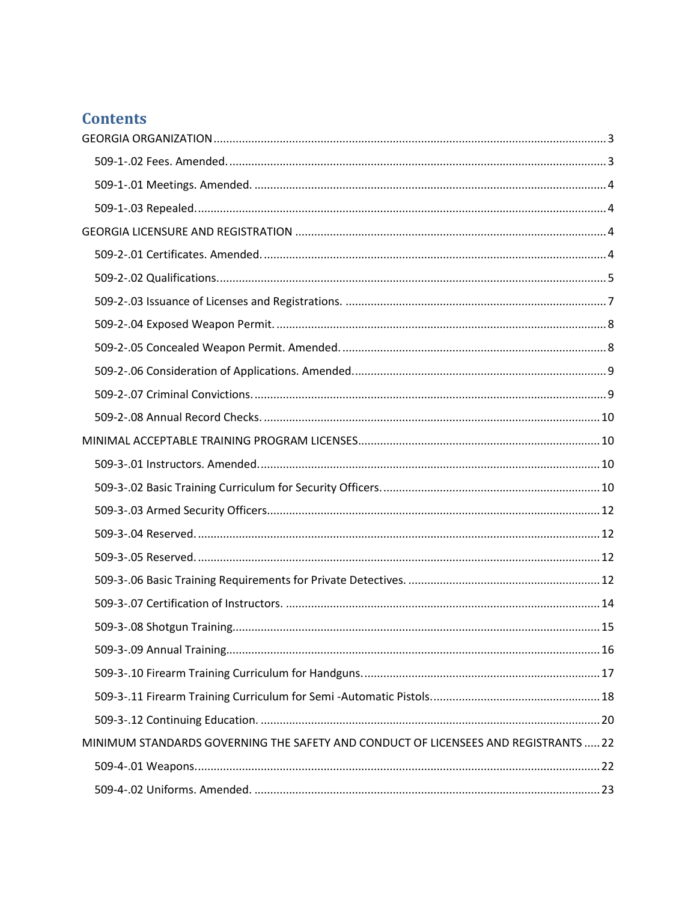# **Contents**

| MINIMUM STANDARDS GOVERNING THE SAFETY AND CONDUCT OF LICENSEES AND REGISTRANTS  22 |  |
|-------------------------------------------------------------------------------------|--|
|                                                                                     |  |
|                                                                                     |  |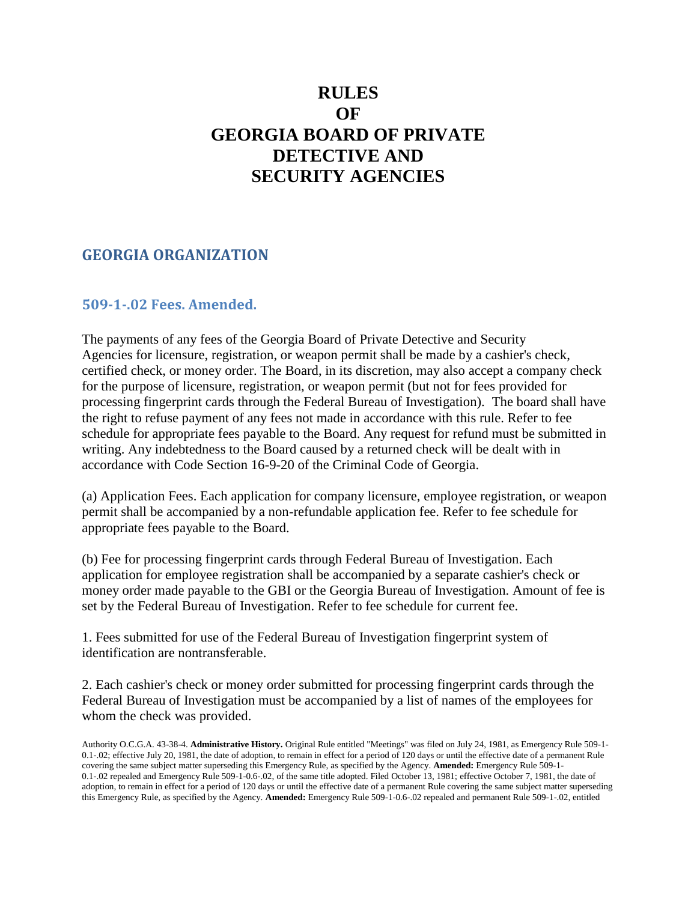# **RULES OF GEORGIA BOARD OF PRIVATE DETECTIVE AND SECURITY AGENCIES**

### <span id="page-2-0"></span>**GEORGIA ORGANIZATION**

### <span id="page-2-1"></span>**509-1-.02 Fees. Amended.**

The payments of any fees of the Georgia Board of Private Detective and Security Agencies for licensure, registration, or weapon permit shall be made by a cashier's check, certified check, or money order. The Board, in its discretion, may also accept a company check for the purpose of licensure, registration, or weapon permit (but not for fees provided for processing fingerprint cards through the Federal Bureau of Investigation). The board shall have the right to refuse payment of any fees not made in accordance with this rule. Refer to fee schedule for appropriate fees payable to the Board. Any request for refund must be submitted in writing. Any indebtedness to the Board caused by a returned check will be dealt with in accordance with Code Section 16-9-20 of the Criminal Code of Georgia.

(a) Application Fees. Each application for company licensure, employee registration, or weapon permit shall be accompanied by a non-refundable application fee. Refer to fee schedule for appropriate fees payable to the Board.

(b) Fee for processing fingerprint cards through Federal Bureau of Investigation. Each application for employee registration shall be accompanied by a separate cashier's check or money order made payable to the GBI or the Georgia Bureau of Investigation. Amount of fee is set by the Federal Bureau of Investigation. Refer to fee schedule for current fee.

1. Fees submitted for use of the Federal Bureau of Investigation fingerprint system of identification are nontransferable.

2. Each cashier's check or money order submitted for processing fingerprint cards through the Federal Bureau of Investigation must be accompanied by a list of names of the employees for whom the check was provided.

Authority O.C.G.A. 43-38-4. **Administrative History.** Original Rule entitled "Meetings" was filed on July 24, 1981, as Emergency Rule 509-1- 0.1-.02; effective July 20, 1981, the date of adoption, to remain in effect for a period of 120 days or until the effective date of a permanent Rule covering the same subject matter superseding this Emergency Rule, as specified by the Agency. **Amended:** Emergency Rule 509-1- 0.1-.02 repealed and Emergency Rule 509-1-0.6-.02, of the same title adopted. Filed October 13, 1981; effective October 7, 1981, the date of adoption, to remain in effect for a period of 120 days or until the effective date of a permanent Rule covering the same subject matter superseding this Emergency Rule, as specified by the Agency. **Amended:** Emergency Rule 509-1-0.6-.02 repealed and permanent Rule 509-1-.02, entitled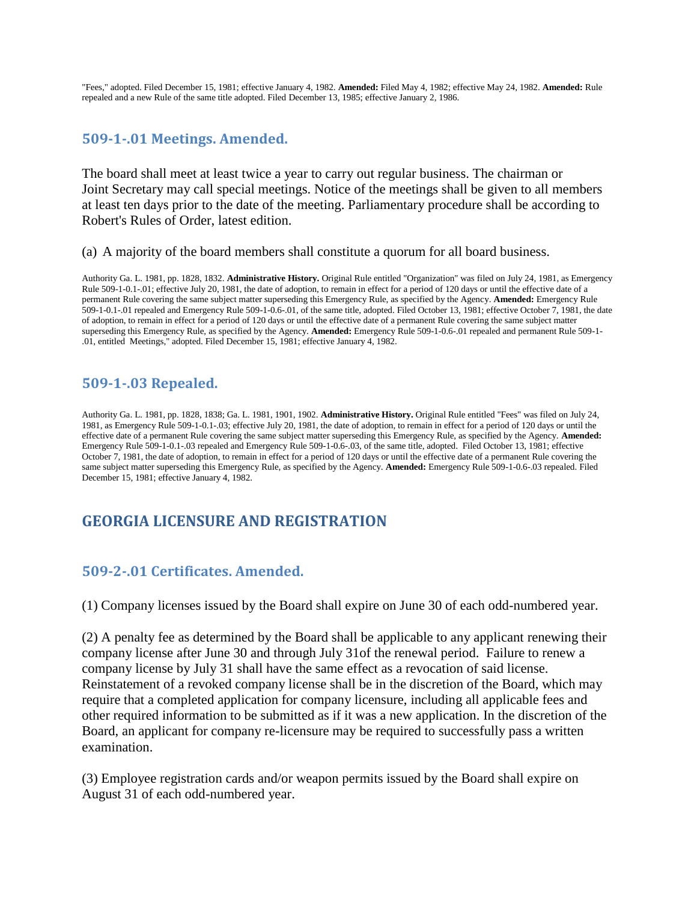"Fees," adopted. Filed December 15, 1981; effective January 4, 1982. **Amended:** Filed May 4, 1982; effective May 24, 1982. **Amended:** Rule repealed and a new Rule of the same title adopted. Filed December 13, 1985; effective January 2, 1986.

### <span id="page-3-0"></span>**509-1-.01 Meetings. Amended.**

The board shall meet at least twice a year to carry out regular business. The chairman or Joint Secretary may call special meetings. Notice of the meetings shall be given to all members at least ten days prior to the date of the meeting. Parliamentary procedure shall be according to Robert's Rules of Order, latest edition.

(a) A majority of the board members shall constitute a quorum for all board business.

Authority Ga. L. 1981, pp. 1828, 1832. **Administrative History.** Original Rule entitled "Organization" was filed on July 24, 1981, as Emergency Rule 509-1-0.1-.01; effective July 20, 1981, the date of adoption, to remain in effect for a period of 120 days or until the effective date of a permanent Rule covering the same subject matter superseding this Emergency Rule, as specified by the Agency. **Amended:** Emergency Rule 509-1-0.1-.01 repealed and Emergency Rule 509-1-0.6-.01, of the same title, adopted. Filed October 13, 1981; effective October 7, 1981, the date of adoption, to remain in effect for a period of 120 days or until the effective date of a permanent Rule covering the same subject matter superseding this Emergency Rule, as specified by the Agency. **Amended:** Emergency Rule 509-1-0.6-.01 repealed and permanent Rule 509-1- .01, entitled Meetings," adopted. Filed December 15, 1981; effective January 4, 1982.

### <span id="page-3-1"></span>**509-1-.03 Repealed.**

Authority Ga. L. 1981, pp. 1828, 1838; Ga. L. 1981, 1901, 1902. **Administrative History.** Original Rule entitled "Fees" was filed on July 24, 1981, as Emergency Rule 509-1-0.1-.03; effective July 20, 1981, the date of adoption, to remain in effect for a period of 120 days or until the effective date of a permanent Rule covering the same subject matter superseding this Emergency Rule, as specified by the Agency. **Amended:** Emergency Rule 509-1-0.1-.03 repealed and Emergency Rule 509-1-0.6-.03, of the same title, adopted. Filed October 13, 1981; effective October 7, 1981, the date of adoption, to remain in effect for a period of 120 days or until the effective date of a permanent Rule covering the same subject matter superseding this Emergency Rule, as specified by the Agency. **Amended:** Emergency Rule 509-1-0.6-.03 repealed. Filed December 15, 1981; effective January 4, 1982.

# <span id="page-3-2"></span>**GEORGIA LICENSURE AND REGISTRATION**

### <span id="page-3-3"></span>**509-2-.01 Certificates. Amended.**

(1) Company licenses issued by the Board shall expire on June 30 of each odd-numbered year.

(2) A penalty fee as determined by the Board shall be applicable to any applicant renewing their company license after June 30 and through July 31of the renewal period. Failure to renew a company license by July 31 shall have the same effect as a revocation of said license. Reinstatement of a revoked company license shall be in the discretion of the Board, which may require that a completed application for company licensure, including all applicable fees and other required information to be submitted as if it was a new application. In the discretion of the Board, an applicant for company re-licensure may be required to successfully pass a written examination.

(3) Employee registration cards and/or weapon permits issued by the Board shall expire on August 31 of each odd-numbered year.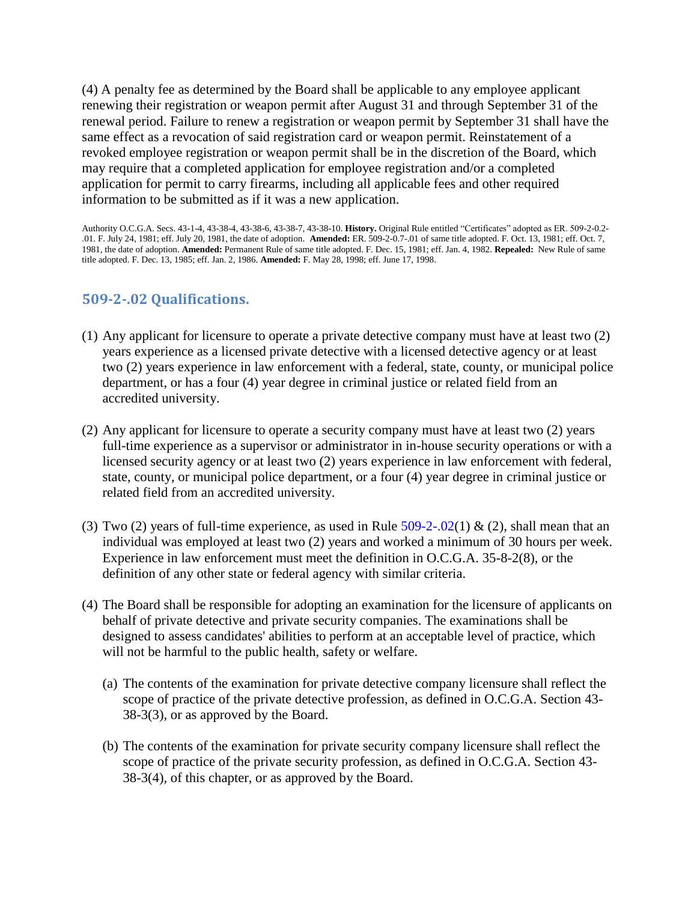(4) A penalty fee as determined by the Board shall be applicable to any employee applicant renewing their registration or weapon permit after August 31 and through September 31 of the renewal period. Failure to renew a registration or weapon permit by September 31 shall have the same effect as a revocation of said registration card or weapon permit. Reinstatement of a revoked employee registration or weapon permit shall be in the discretion of the Board, which may require that a completed application for employee registration and/or a completed application for permit to carry firearms, including all applicable fees and other required information to be submitted as if it was a new application.

Authority O.C.G.A. Secs. 43-1-4, 43-38-4, 43-38-6, 43-38-7, 43-38-10. **History.** Original Rule entitled "Certificates" adopted as ER. 509-2-0.2- .01. F. July 24, 1981; eff. July 20, 1981, the date of adoption. **Amended:** ER. 509-2-0.7-.01 of same title adopted. F. Oct. 13, 1981; eff. Oct. 7, 1981, the date of adoption. **Amended:** Permanent Rule of same title adopted. F. Dec. 15, 1981; eff. Jan. 4, 1982. **Repealed:** New Rule of same title adopted. F. Dec. 13, 1985; eff. Jan. 2, 1986. **Amended:** F. May 28, 1998; eff. June 17, 1998.

### <span id="page-4-0"></span>**509-2-.02 Qualifications.**

- (1) Any applicant for licensure to operate a private detective company must have at least two (2) years experience as a licensed private detective with a licensed detective agency or at least two (2) years experience in law enforcement with a federal, state, county, or municipal police department, or has a four (4) year degree in criminal justice or related field from an accredited university.
- (2) Any applicant for licensure to operate a security company must have at least two (2) years full-time experience as a supervisor or administrator in in-house security operations or with a licensed security agency or at least two (2) years experience in law enforcement with federal, state, county, or municipal police department, or a four (4) year degree in criminal justice or related field from an accredited university.
- (3) Two (2) years of full-time experience, as used in Rule  $509-2-02(1)$  & (2), shall mean that an individual was employed at least two (2) years and worked a minimum of 30 hours per week. Experience in law enforcement must meet the definition in O.C.G.A. 35-8-2(8), or the definition of any other state or federal agency with similar criteria.
- (4) The Board shall be responsible for adopting an examination for the licensure of applicants on behalf of private detective and private security companies. The examinations shall be designed to assess candidates' abilities to perform at an acceptable level of practice, which will not be harmful to the public health, safety or welfare.
	- (a) The contents of the examination for private detective company licensure shall reflect the scope of practice of the private detective profession, as defined in O.C.G.A. Section 43- 38-3(3), or as approved by the Board.
	- (b) The contents of the examination for private security company licensure shall reflect the scope of practice of the private security profession, as defined in O.C.G.A. Section 43- 38-3(4), of this chapter, or as approved by the Board.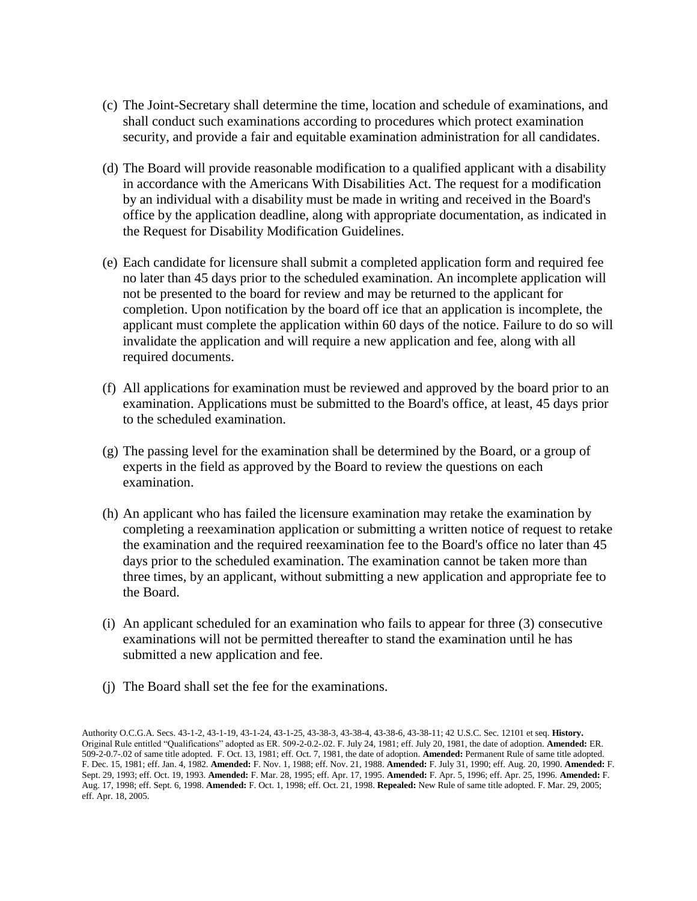- (c) The Joint-Secretary shall determine the time, location and schedule of examinations, and shall conduct such examinations according to procedures which protect examination security, and provide a fair and equitable examination administration for all candidates.
- (d) The Board will provide reasonable modification to a qualified applicant with a disability in accordance with the Americans With Disabilities Act. The request for a modification by an individual with a disability must be made in writing and received in the Board's office by the application deadline, along with appropriate documentation, as indicated in the Request for Disability Modification Guidelines.
- (e) Each candidate for licensure shall submit a completed application form and required fee no later than 45 days prior to the scheduled examination. An incomplete application will not be presented to the board for review and may be returned to the applicant for completion. Upon notification by the board off ice that an application is incomplete, the applicant must complete the application within 60 days of the notice. Failure to do so will invalidate the application and will require a new application and fee, along with all required documents.
- (f) All applications for examination must be reviewed and approved by the board prior to an examination. Applications must be submitted to the Board's office, at least, 45 days prior to the scheduled examination.
- (g) The passing level for the examination shall be determined by the Board, or a group of experts in the field as approved by the Board to review the questions on each examination.
- (h) An applicant who has failed the licensure examination may retake the examination by completing a reexamination application or submitting a written notice of request to retake the examination and the required reexamination fee to the Board's office no later than 45 days prior to the scheduled examination. The examination cannot be taken more than three times, by an applicant, without submitting a new application and appropriate fee to the Board.
- (i) An applicant scheduled for an examination who fails to appear for three (3) consecutive examinations will not be permitted thereafter to stand the examination until he has submitted a new application and fee.
- (j) The Board shall set the fee for the examinations.

Authority O.C.G.A. Secs. 43-1-2, 43-1-19, 43-1-24, 43-1-25, 43-38-3, 43-38-4, 43-38-6, 43-38-11; 42 U.S.C. Sec. 12101 et seq. **History.**  Original Rule entitled "Qualifications" adopted as ER. 509-2-0.2-.02. F. July 24, 1981; eff. July 20, 1981, the date of adoption. **Amended:** ER. 509-2-0.7-.02 of same title adopted. F. Oct. 13, 1981; eff. Oct. 7, 1981, the date of adoption. **Amended:** Permanent Rule of same title adopted. F. Dec. 15, 1981; eff. Jan. 4, 1982. **Amended:** F. Nov. 1, 1988; eff. Nov. 21, 1988. **Amended:** F. July 31, 1990; eff. Aug. 20, 1990. **Amended:** F. Sept. 29, 1993; eff. Oct. 19, 1993. **Amended:** F. Mar. 28, 1995; eff. Apr. 17, 1995. **Amended:** F. Apr. 5, 1996; eff. Apr. 25, 1996. **Amended:** F. Aug. 17, 1998; eff. Sept. 6, 1998. **Amended:** F. Oct. 1, 1998; eff. Oct. 21, 1998. **Repealed:** New Rule of same title adopted. F. Mar. 29, 2005; eff. Apr. 18, 2005.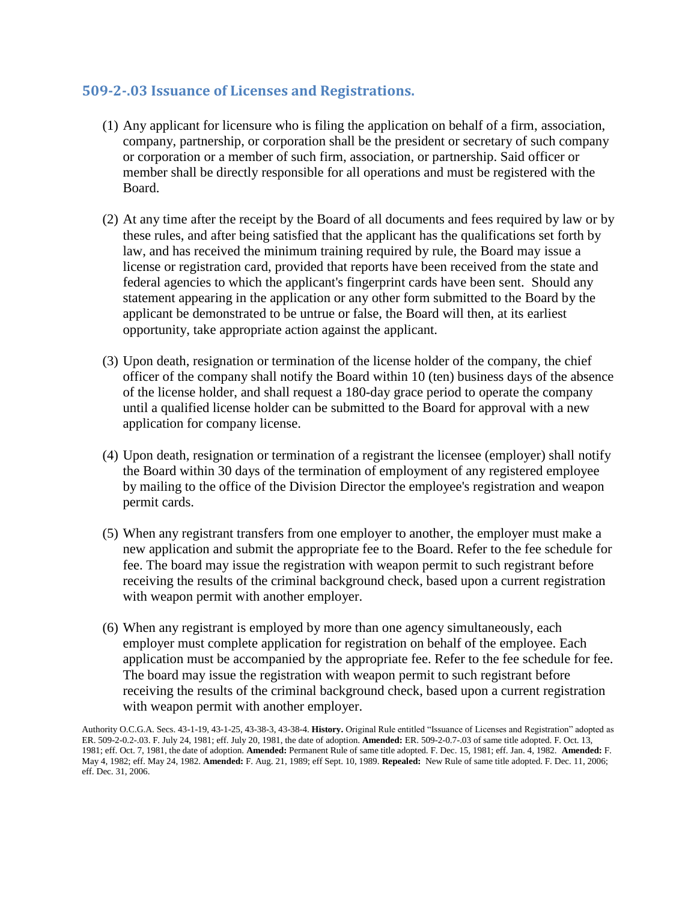### <span id="page-6-0"></span>**509-2-.03 Issuance of Licenses and Registrations.**

- (1) Any applicant for licensure who is filing the application on behalf of a firm, association, company, partnership, or corporation shall be the president or secretary of such company or corporation or a member of such firm, association, or partnership. Said officer or member shall be directly responsible for all operations and must be registered with the Board.
- (2) At any time after the receipt by the Board of all documents and fees required by law or by these rules, and after being satisfied that the applicant has the qualifications set forth by law, and has received the minimum training required by rule, the Board may issue a license or registration card, provided that reports have been received from the state and federal agencies to which the applicant's fingerprint cards have been sent. Should any statement appearing in the application or any other form submitted to the Board by the applicant be demonstrated to be untrue or false, the Board will then, at its earliest opportunity, take appropriate action against the applicant.
- (3) Upon death, resignation or termination of the license holder of the company, the chief officer of the company shall notify the Board within 10 (ten) business days of the absence of the license holder, and shall request a 180-day grace period to operate the company until a qualified license holder can be submitted to the Board for approval with a new application for company license.
- (4) Upon death, resignation or termination of a registrant the licensee (employer) shall notify the Board within 30 days of the termination of employment of any registered employee by mailing to the office of the Division Director the employee's registration and weapon permit cards.
- (5) When any registrant transfers from one employer to another, the employer must make a new application and submit the appropriate fee to the Board. Refer to the fee schedule for fee. The board may issue the registration with weapon permit to such registrant before receiving the results of the criminal background check, based upon a current registration with weapon permit with another employer.
- (6) When any registrant is employed by more than one agency simultaneously, each employer must complete application for registration on behalf of the employee. Each application must be accompanied by the appropriate fee. Refer to the fee schedule for fee. The board may issue the registration with weapon permit to such registrant before receiving the results of the criminal background check, based upon a current registration with weapon permit with another employer.

Authority O.C.G.A. Secs. 43-1-19, 43-1-25, 43-38-3, 43-38-4. **History.** Original Rule entitled "Issuance of Licenses and Registration" adopted as ER. 509-2-0.2-.03. F. July 24, 1981; eff. July 20, 1981, the date of adoption. **Amended:** ER. 509-2-0.7-.03 of same title adopted. F. Oct. 13, 1981; eff. Oct. 7, 1981, the date of adoption. **Amended:** Permanent Rule of same title adopted. F. Dec. 15, 1981; eff. Jan. 4, 1982. **Amended:** F. May 4, 1982; eff. May 24, 1982. **Amended:** F. Aug. 21, 1989; eff Sept. 10, 1989. **Repealed:** New Rule of same title adopted. F. Dec. 11, 2006; eff. Dec. 31, 2006.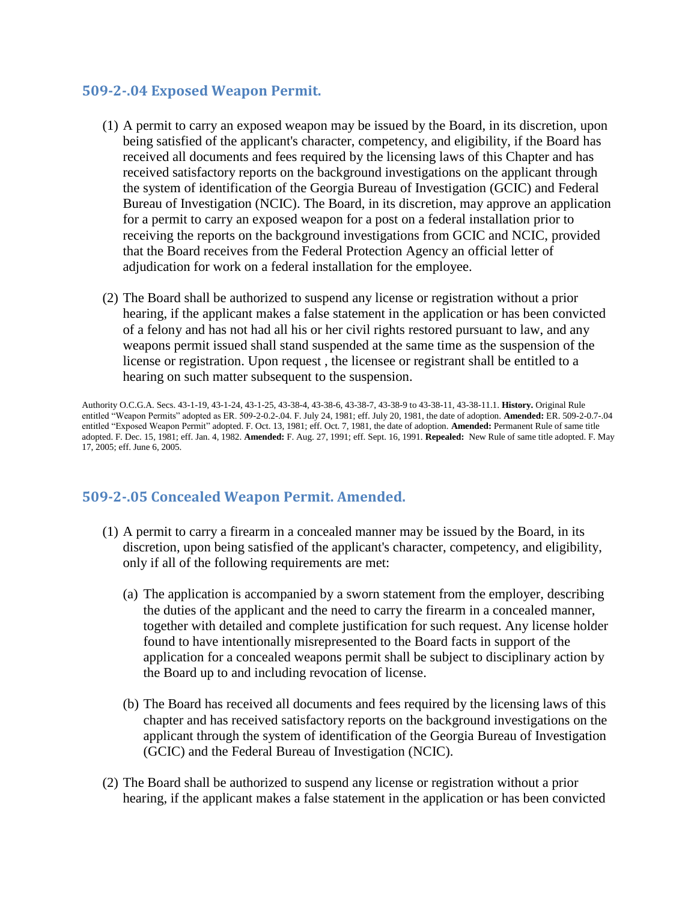### <span id="page-7-0"></span>**509-2-.04 Exposed Weapon Permit.**

- (1) A permit to carry an exposed weapon may be issued by the Board, in its discretion, upon being satisfied of the applicant's character, competency, and eligibility, if the Board has received all documents and fees required by the licensing laws of this Chapter and has received satisfactory reports on the background investigations on the applicant through the system of identification of the Georgia Bureau of Investigation (GCIC) and Federal Bureau of Investigation (NCIC). The Board, in its discretion, may approve an application for a permit to carry an exposed weapon for a post on a federal installation prior to receiving the reports on the background investigations from GCIC and NCIC, provided that the Board receives from the Federal Protection Agency an official letter of adjudication for work on a federal installation for the employee.
- (2) The Board shall be authorized to suspend any license or registration without a prior hearing, if the applicant makes a false statement in the application or has been convicted of a felony and has not had all his or her civil rights restored pursuant to law, and any weapons permit issued shall stand suspended at the same time as the suspension of the license or registration. Upon request , the licensee or registrant shall be entitled to a hearing on such matter subsequent to the suspension.

Authority O.C.G.A. Secs. 43-1-19, 43-1-24, 43-1-25, 43-38-4, 43-38-6, 43-38-7, 43-38-9 to 43-38-11, 43-38-11.1. **History.** Original Rule entitled "Weapon Permits" adopted as ER. 509-2-0.2-.04. F. July 24, 1981; eff. July 20, 1981, the date of adoption. **Amended:** ER. 509-2-0.7-.04 entitled "Exposed Weapon Permit" adopted. F. Oct. 13, 1981; eff. Oct. 7, 1981, the date of adoption. **Amended:** Permanent Rule of same title adopted. F. Dec. 15, 1981; eff. Jan. 4, 1982. **Amended:** F. Aug. 27, 1991; eff. Sept. 16, 1991. **Repealed:** New Rule of same title adopted. F. May 17, 2005; eff. June 6, 2005.

### <span id="page-7-1"></span>**509-2-.05 Concealed Weapon Permit. Amended.**

- (1) A permit to carry a firearm in a concealed manner may be issued by the Board, in its discretion, upon being satisfied of the applicant's character, competency, and eligibility, only if all of the following requirements are met:
	- (a) The application is accompanied by a sworn statement from the employer, describing the duties of the applicant and the need to carry the firearm in a concealed manner, together with detailed and complete justification for such request. Any license holder found to have intentionally misrepresented to the Board facts in support of the application for a concealed weapons permit shall be subject to disciplinary action by the Board up to and including revocation of license.
	- (b) The Board has received all documents and fees required by the licensing laws of this chapter and has received satisfactory reports on the background investigations on the applicant through the system of identification of the Georgia Bureau of Investigation (GCIC) and the Federal Bureau of Investigation (NCIC).
- (2) The Board shall be authorized to suspend any license or registration without a prior hearing, if the applicant makes a false statement in the application or has been convicted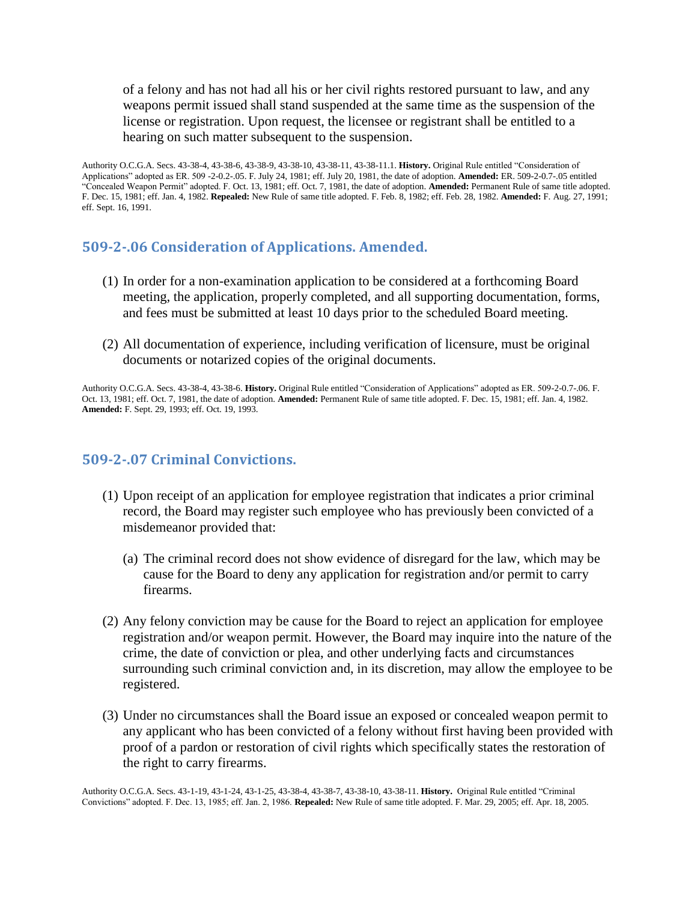of a felony and has not had all his or her civil rights restored pursuant to law, and any weapons permit issued shall stand suspended at the same time as the suspension of the license or registration. Upon request, the licensee or registrant shall be entitled to a hearing on such matter subsequent to the suspension.

Authority O.C.G.A. Secs. 43-38-4, 43-38-6, 43-38-9, 43-38-10, 43-38-11, 43-38-11.1. **History.** Original Rule entitled "Consideration of Applications" adopted as ER. 509 -2-0.2-.05. F. July 24, 1981; eff. July 20, 1981, the date of adoption. **Amended:** ER. 509-2-0.7-.05 entitled "Concealed Weapon Permit" adopted. F. Oct. 13, 1981; eff. Oct. 7, 1981, the date of adoption. **Amended:** Permanent Rule of same title adopted. F. Dec. 15, 1981; eff. Jan. 4, 1982. **Repealed:** New Rule of same title adopted. F. Feb. 8, 1982; eff. Feb. 28, 1982. **Amended:** F. Aug. 27, 1991; eff. Sept. 16, 1991.

#### <span id="page-8-0"></span>**509-2-.06 Consideration of Applications. Amended.**

- (1) In order for a non-examination application to be considered at a forthcoming Board meeting, the application, properly completed, and all supporting documentation, forms, and fees must be submitted at least 10 days prior to the scheduled Board meeting.
- (2) All documentation of experience, including verification of licensure, must be original documents or notarized copies of the original documents.

Authority O.C.G.A. Secs. 43-38-4, 43-38-6. **History.** Original Rule entitled "Consideration of Applications" adopted as ER. 509-2-0.7-.06. F. Oct. 13, 1981; eff. Oct. 7, 1981, the date of adoption. **Amended:** Permanent Rule of same title adopted. F. Dec. 15, 1981; eff. Jan. 4, 1982. **Amended:** F. Sept. 29, 1993; eff. Oct. 19, 1993.

#### <span id="page-8-1"></span>**509-2-.07 Criminal Convictions.**

- (1) Upon receipt of an application for employee registration that indicates a prior criminal record, the Board may register such employee who has previously been convicted of a misdemeanor provided that:
	- (a) The criminal record does not show evidence of disregard for the law, which may be cause for the Board to deny any application for registration and/or permit to carry firearms.
- (2) Any felony conviction may be cause for the Board to reject an application for employee registration and/or weapon permit. However, the Board may inquire into the nature of the crime, the date of conviction or plea, and other underlying facts and circumstances surrounding such criminal conviction and, in its discretion, may allow the employee to be registered.
- (3) Under no circumstances shall the Board issue an exposed or concealed weapon permit to any applicant who has been convicted of a felony without first having been provided with proof of a pardon or restoration of civil rights which specifically states the restoration of the right to carry firearms.

Authority O.C.G.A. Secs. 43-1-19, 43-1-24, 43-1-25, 43-38-4, 43-38-7, 43-38-10, 43-38-11. **History.** Original Rule entitled "Criminal Convictions" adopted. F. Dec. 13, 1985; eff. Jan. 2, 1986. **Repealed:** New Rule of same title adopted. F. Mar. 29, 2005; eff. Apr. 18, 2005.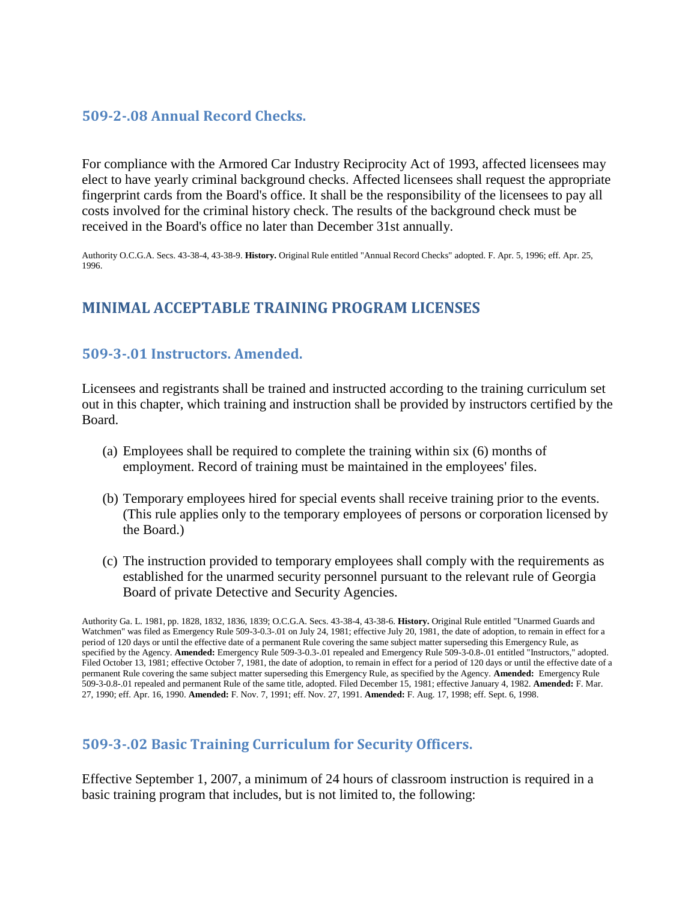### <span id="page-9-0"></span>**509-2-.08 Annual Record Checks.**

For compliance with the Armored Car Industry Reciprocity Act of 1993, affected licensees may elect to have yearly criminal background checks. Affected licensees shall request the appropriate fingerprint cards from the Board's office. It shall be the responsibility of the licensees to pay all costs involved for the criminal history check. The results of the background check must be received in the Board's office no later than December 31st annually.

<span id="page-9-1"></span>Authority O.C.G.A. Secs. 43-38-4, 43-38-9. **History.** Original Rule entitled "Annual Record Checks" adopted. F. Apr. 5, 1996; eff. Apr. 25, 1996.

### **MINIMAL ACCEPTABLE TRAINING PROGRAM LICENSES**

### <span id="page-9-2"></span>**509-3-.01 Instructors. Amended.**

Licensees and registrants shall be trained and instructed according to the training curriculum set out in this chapter, which training and instruction shall be provided by instructors certified by the Board.

- (a) Employees shall be required to complete the training within six (6) months of employment. Record of training must be maintained in the employees' files.
- (b) Temporary employees hired for special events shall receive training prior to the events. (This rule applies only to the temporary employees of persons or corporation licensed by the Board.)
- (c) The instruction provided to temporary employees shall comply with the requirements as established for the unarmed security personnel pursuant to the relevant rule of Georgia Board of private Detective and Security Agencies.

Authority Ga. L. 1981, pp. 1828, 1832, 1836, 1839; O.C.G.A. Secs. 43-38-4, 43-38-6. **History.** Original Rule entitled "Unarmed Guards and Watchmen" was filed as Emergency Rule 509-3-0.3-.01 on July 24, 1981; effective July 20, 1981, the date of adoption, to remain in effect for a period of 120 days or until the effective date of a permanent Rule covering the same subject matter superseding this Emergency Rule, as specified by the Agency. **Amended:** Emergency Rule 509-3-0.3-.01 repealed and Emergency Rule 509-3-0.8-.01 entitled "Instructors," adopted. Filed October 13, 1981; effective October 7, 1981, the date of adoption, to remain in effect for a period of 120 days or until the effective date of a permanent Rule covering the same subject matter superseding this Emergency Rule, as specified by the Agency. **Amended:** Emergency Rule 509-3-0.8-.01 repealed and permanent Rule of the same title, adopted. Filed December 15, 1981; effective January 4, 1982. **Amended:** F. Mar. 27, 1990; eff. Apr. 16, 1990. **Amended:** F. Nov. 7, 1991; eff. Nov. 27, 1991. **Amended:** F. Aug. 17, 1998; eff. Sept. 6, 1998.

#### <span id="page-9-3"></span>**509-3-.02 Basic Training Curriculum for Security Officers.**

Effective September 1, 2007, a minimum of 24 hours of classroom instruction is required in a basic training program that includes, but is not limited to, the following: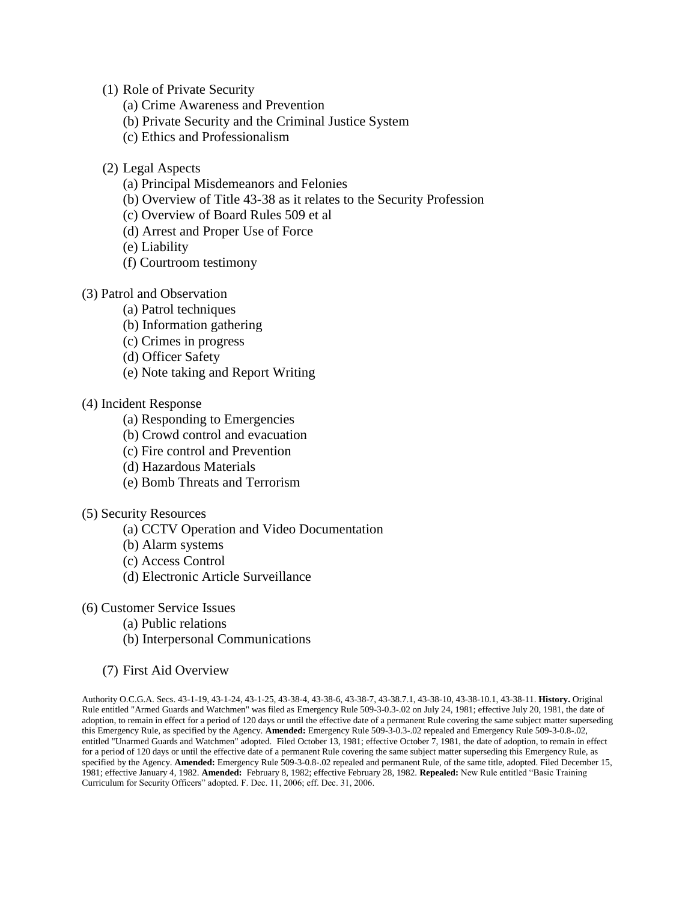(1) Role of Private Security

- (a) Crime Awareness and Prevention
- (b) Private Security and the Criminal Justice System
- (c) Ethics and Professionalism
- (2) Legal Aspects
	- (a) Principal Misdemeanors and Felonies
	- (b) Overview of Title 43-38 as it relates to the Security Profession
	- (c) Overview of Board Rules 509 et al
	- (d) Arrest and Proper Use of Force

(e) Liability

- (f) Courtroom testimony
- (3) Patrol and Observation
	- (a) Patrol techniques
	- (b) Information gathering
	- (c) Crimes in progress
	- (d) Officer Safety
	- (e) Note taking and Report Writing

#### (4) Incident Response

- (a) Responding to Emergencies
- (b) Crowd control and evacuation
- (c) Fire control and Prevention
- (d) Hazardous Materials
- (e) Bomb Threats and Terrorism

#### (5) Security Resources

- (a) CCTV Operation and Video Documentation
- (b) Alarm systems
- (c) Access Control
- (d) Electronic Article Surveillance
- (6) Customer Service Issues
	- (a) Public relations
	- (b) Interpersonal Communications
	- (7) First Aid Overview

Authority O.C.G.A. Secs. 43-1-19, 43-1-24, 43-1-25, 43-38-4, 43-38-6, 43-38-7, 43-38.7.1, 43-38-10, 43-38-10.1, 43-38-11. **History.** Original Rule entitled "Armed Guards and Watchmen" was filed as Emergency Rule 509-3-0.3-.02 on July 24, 1981; effective July 20, 1981, the date of adoption, to remain in effect for a period of 120 days or until the effective date of a permanent Rule covering the same subject matter superseding this Emergency Rule, as specified by the Agency. **Amended:** Emergency Rule 509-3-0.3-.02 repealed and Emergency Rule 509-3-0.8-.02, entitled "Unarmed Guards and Watchmen" adopted. Filed October 13, 1981; effective October 7, 1981, the date of adoption, to remain in effect for a period of 120 days or until the effective date of a permanent Rule covering the same subject matter superseding this Emergency Rule, as specified by the Agency. **Amended:** Emergency Rule 509-3-0.8-.02 repealed and permanent Rule, of the same title, adopted. Filed December 15, 1981; effective January 4, 1982. **Amended:** February 8, 1982; effective February 28, 1982. **Repealed:** New Rule entitled "Basic Training Curriculum for Security Officers" adopted. F. Dec. 11, 2006; eff. Dec. 31, 2006.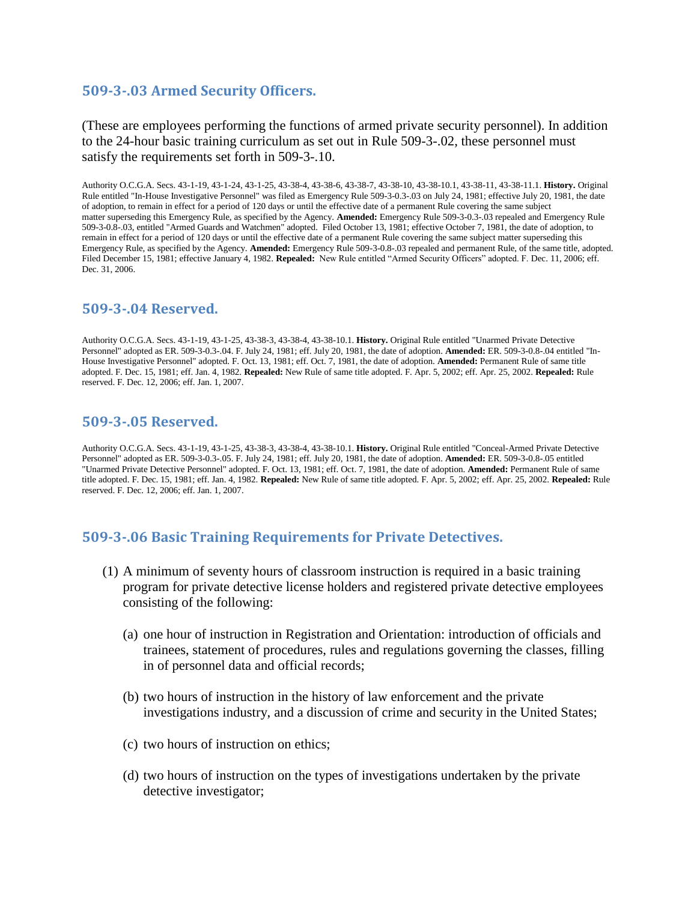### <span id="page-11-0"></span>**509-3-.03 Armed Security Officers.**

(These are employees performing the functions of armed private security personnel). In addition to the 24-hour basic training curriculum as set out in Rule 509-3-.02, these personnel must satisfy the requirements set forth in 509-3-.10.

Authority O.C.G.A. Secs. 43-1-19, 43-1-24, 43-1-25, 43-38-4, 43-38-6, 43-38-7, 43-38-10, 43-38-10.1, 43-38-11, 43-38-11.1. **History.** Original Rule entitled "In-House Investigative Personnel" was filed as Emergency Rule 509-3-0.3-.03 on July 24, 1981; effective July 20, 1981, the date of adoption, to remain in effect for a period of 120 days or until the effective date of a permanent Rule covering the same subject matter superseding this Emergency Rule, as specified by the Agency. **Amended:** Emergency Rule 509-3-0.3-.03 repealed and Emergency Rule 509-3-0.8-.03, entitled "Armed Guards and Watchmen" adopted. Filed October 13, 1981; effective October 7, 1981, the date of adoption, to remain in effect for a period of 120 days or until the effective date of a permanent Rule covering the same subject matter superseding this Emergency Rule, as specified by the Agency. **Amended:** Emergency Rule 509-3-0.8-.03 repealed and permanent Rule, of the same title, adopted. Filed December 15, 1981; effective January 4, 1982. **Repealed:** New Rule entitled "Armed Security Officers" adopted. F. Dec. 11, 2006; eff. Dec. 31, 2006.

#### <span id="page-11-1"></span>**509-3-.04 Reserved.**

Authority O.C.G.A. Secs. 43-1-19, 43-1-25, 43-38-3, 43-38-4, 43-38-10.1. **History.** Original Rule entitled "Unarmed Private Detective Personnel" adopted as ER. 509-3-0.3-.04. F. July 24, 1981; eff. July 20, 1981, the date of adoption. **Amended:** ER. 509-3-0.8-.04 entitled "In-House Investigative Personnel" adopted. F. Oct. 13, 1981; eff. Oct. 7, 1981, the date of adoption. **Amended:** Permanent Rule of same title adopted. F. Dec. 15, 1981; eff. Jan. 4, 1982. **Repealed:** New Rule of same title adopted. F. Apr. 5, 2002; eff. Apr. 25, 2002. **Repealed:** Rule reserved. F. Dec. 12, 2006; eff. Jan. 1, 2007.

#### <span id="page-11-2"></span>**509-3-.05 Reserved.**

Authority O.C.G.A. Secs. 43-1-19, 43-1-25, 43-38-3, 43-38-4, 43-38-10.1. **History.** Original Rule entitled "Conceal-Armed Private Detective Personnel" adopted as ER. 509-3-0.3-.05. F. July 24, 1981; eff. July 20, 1981, the date of adoption. **Amended:** ER. 509-3-0.8-.05 entitled "Unarmed Private Detective Personnel" adopted. F. Oct. 13, 1981; eff. Oct. 7, 1981, the date of adoption. **Amended:** Permanent Rule of same title adopted. F. Dec. 15, 1981; eff. Jan. 4, 1982. **Repealed:** New Rule of same title adopted. F. Apr. 5, 2002; eff. Apr. 25, 2002. **Repealed:** Rule reserved. F. Dec. 12, 2006; eff. Jan. 1, 2007.

#### <span id="page-11-3"></span>**509-3-.06 Basic Training Requirements for Private Detectives.**

- (1) A minimum of seventy hours of classroom instruction is required in a basic training program for private detective license holders and registered private detective employees consisting of the following:
	- (a) one hour of instruction in Registration and Orientation: introduction of officials and trainees, statement of procedures, rules and regulations governing the classes, filling in of personnel data and official records;
	- (b) two hours of instruction in the history of law enforcement and the private investigations industry, and a discussion of crime and security in the United States;
	- (c) two hours of instruction on ethics;
	- (d) two hours of instruction on the types of investigations undertaken by the private detective investigator;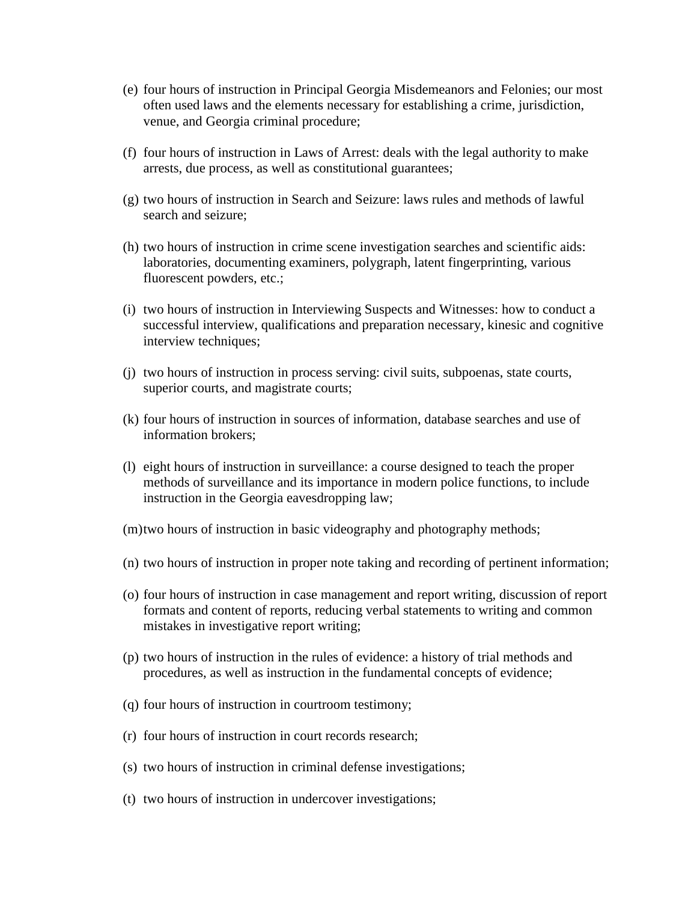- (e) four hours of instruction in Principal Georgia Misdemeanors and Felonies; our most often used laws and the elements necessary for establishing a crime, jurisdiction, venue, and Georgia criminal procedure;
- (f) four hours of instruction in Laws of Arrest: deals with the legal authority to make arrests, due process, as well as constitutional guarantees;
- (g) two hours of instruction in Search and Seizure: laws rules and methods of lawful search and seizure;
- (h) two hours of instruction in crime scene investigation searches and scientific aids: laboratories, documenting examiners, polygraph, latent fingerprinting, various fluorescent powders, etc.;
- (i) two hours of instruction in Interviewing Suspects and Witnesses: how to conduct a successful interview, qualifications and preparation necessary, kinesic and cognitive interview techniques;
- (j) two hours of instruction in process serving: civil suits, subpoenas, state courts, superior courts, and magistrate courts;
- (k) four hours of instruction in sources of information, database searches and use of information brokers;
- (l) eight hours of instruction in surveillance: a course designed to teach the proper methods of surveillance and its importance in modern police functions, to include instruction in the Georgia eavesdropping law;
- (m)two hours of instruction in basic videography and photography methods;
- (n) two hours of instruction in proper note taking and recording of pertinent information;
- (o) four hours of instruction in case management and report writing, discussion of report formats and content of reports, reducing verbal statements to writing and common mistakes in investigative report writing;
- (p) two hours of instruction in the rules of evidence: a history of trial methods and procedures, as well as instruction in the fundamental concepts of evidence;
- (q) four hours of instruction in courtroom testimony;
- (r) four hours of instruction in court records research;
- (s) two hours of instruction in criminal defense investigations;
- (t) two hours of instruction in undercover investigations;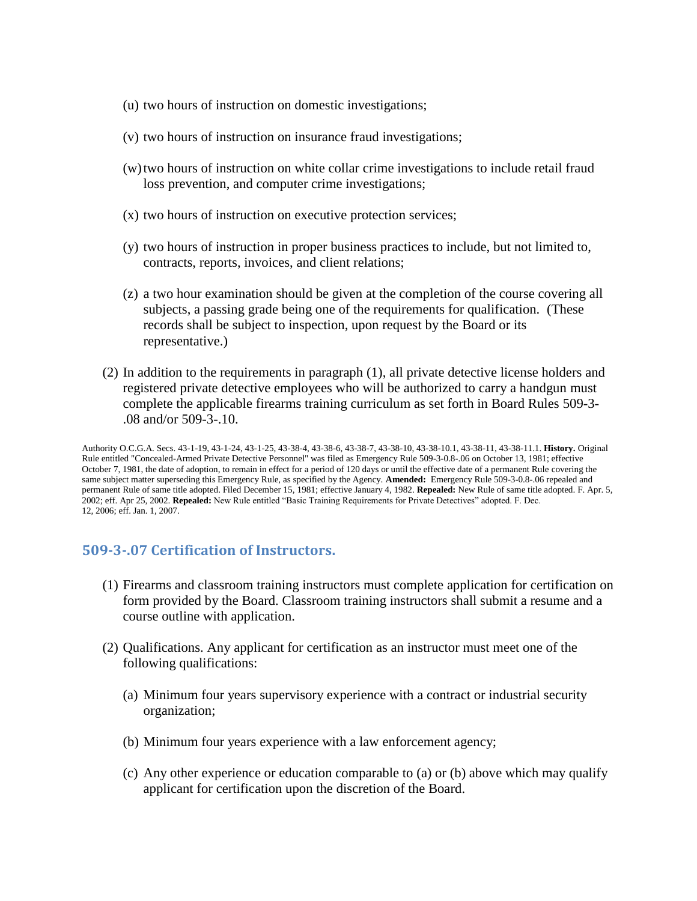- (u) two hours of instruction on domestic investigations;
- (v) two hours of instruction on insurance fraud investigations;
- (w)two hours of instruction on white collar crime investigations to include retail fraud loss prevention, and computer crime investigations;
- (x) two hours of instruction on executive protection services;
- (y) two hours of instruction in proper business practices to include, but not limited to, contracts, reports, invoices, and client relations;
- (z) a two hour examination should be given at the completion of the course covering all subjects, a passing grade being one of the requirements for qualification. (These records shall be subject to inspection, upon request by the Board or its representative.)
- (2) In addition to the requirements in paragraph (1), all private detective license holders and registered private detective employees who will be authorized to carry a handgun must complete the applicable firearms training curriculum as set forth in Board Rules 509-3- .08 and/or 509-3-.10.

Authority O.C.G.A. Secs. 43-1-19, 43-1-24, 43-1-25, 43-38-4, 43-38-6, 43-38-7, 43-38-10, 43-38-10.1, 43-38-11, 43-38-11.1. **History.** Original Rule entitled "Concealed-Armed Private Detective Personnel" was filed as Emergency Rule 509-3-0.8-.06 on October 13, 1981; effective October 7, 1981, the date of adoption, to remain in effect for a period of 120 days or until the effective date of a permanent Rule covering the same subject matter superseding this Emergency Rule, as specified by the Agency. **Amended:** Emergency Rule 509-3-0.8-.06 repealed and permanent Rule of same title adopted. Filed December 15, 1981; effective January 4, 1982. **Repealed:** New Rule of same title adopted. F. Apr. 5, 2002; eff. Apr 25, 2002. **Repealed:** New Rule entitled "Basic Training Requirements for Private Detectives" adopted. F. Dec. 12, 2006; eff. Jan. 1, 2007.

#### <span id="page-13-0"></span>**509-3-.07 Certification of Instructors.**

- (1) Firearms and classroom training instructors must complete application for certification on form provided by the Board. Classroom training instructors shall submit a resume and a course outline with application.
- (2) Qualifications. Any applicant for certification as an instructor must meet one of the following qualifications:
	- (a) Minimum four years supervisory experience with a contract or industrial security organization;
	- (b) Minimum four years experience with a law enforcement agency;
	- (c) Any other experience or education comparable to (a) or (b) above which may qualify applicant for certification upon the discretion of the Board.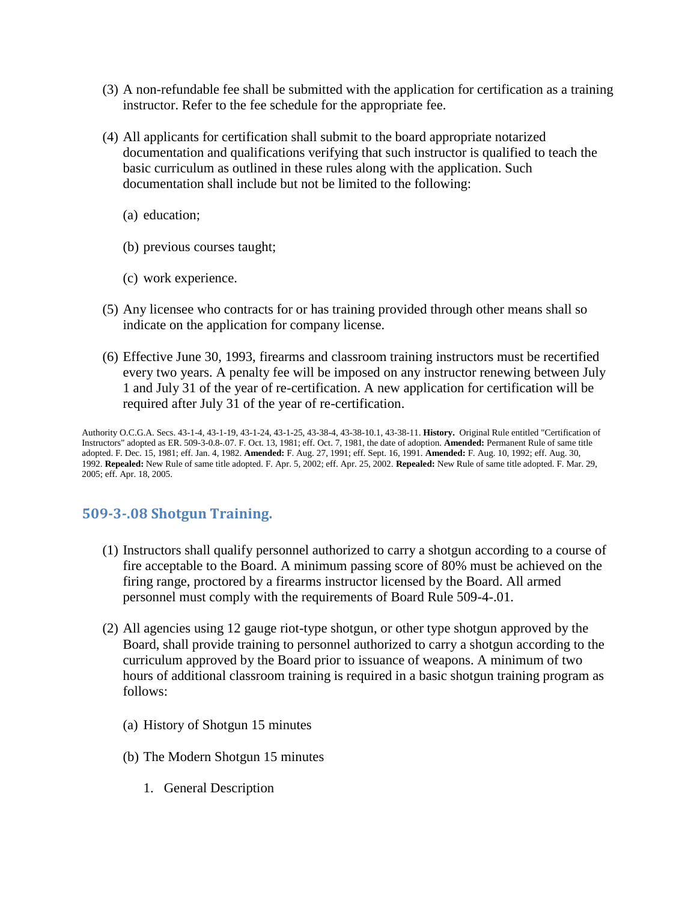- (3) A non-refundable fee shall be submitted with the application for certification as a training instructor. Refer to the fee schedule for the appropriate fee.
- (4) All applicants for certification shall submit to the board appropriate notarized documentation and qualifications verifying that such instructor is qualified to teach the basic curriculum as outlined in these rules along with the application. Such documentation shall include but not be limited to the following:
	- (a) education;
	- (b) previous courses taught;
	- (c) work experience.
- (5) Any licensee who contracts for or has training provided through other means shall so indicate on the application for company license.
- (6) Effective June 30, 1993, firearms and classroom training instructors must be recertified every two years. A penalty fee will be imposed on any instructor renewing between July 1 and July 31 of the year of re-certification. A new application for certification will be required after July 31 of the year of re-certification.

Authority O.C.G.A. Secs. 43-1-4, 43-1-19, 43-1-24, 43-1-25, 43-38-4, 43-38-10.1, 43-38-11. **History.** Original Rule entitled "Certification of Instructors" adopted as ER. 509-3-0.8-.07. F. Oct. 13, 1981; eff. Oct. 7, 1981, the date of adoption. **Amended:** Permanent Rule of same title adopted. F. Dec. 15, 1981; eff. Jan. 4, 1982. **Amended:** F. Aug. 27, 1991; eff. Sept. 16, 1991. **Amended:** F. Aug. 10, 1992; eff. Aug. 30, 1992. **Repealed:** New Rule of same title adopted. F. Apr. 5, 2002; eff. Apr. 25, 2002. **Repealed:** New Rule of same title adopted. F. Mar. 29, 2005; eff. Apr. 18, 2005.

### <span id="page-14-0"></span>**509-3-.08 Shotgun Training.**

- (1) Instructors shall qualify personnel authorized to carry a shotgun according to a course of fire acceptable to the Board. A minimum passing score of 80% must be achieved on the firing range, proctored by a firearms instructor licensed by the Board. All armed personnel must comply with the requirements of Board Rule 509-4-.01.
- (2) All agencies using 12 gauge riot-type shotgun, or other type shotgun approved by the Board, shall provide training to personnel authorized to carry a shotgun according to the curriculum approved by the Board prior to issuance of weapons. A minimum of two hours of additional classroom training is required in a basic shotgun training program as follows:
	- (a) History of Shotgun 15 minutes
	- (b) The Modern Shotgun 15 minutes
		- 1. General Description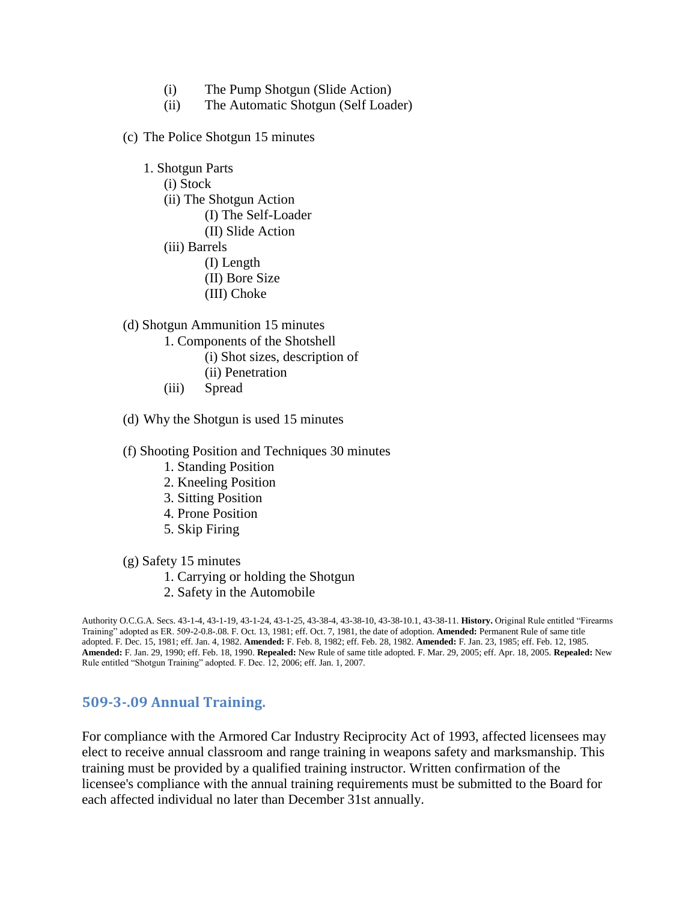- (i) The Pump Shotgun (Slide Action)
- (ii) The Automatic Shotgun (Self Loader)
- (c) The Police Shotgun 15 minutes
	- 1. Shotgun Parts (i) Stock (ii) The Shotgun Action (I) The Self-Loader (II) Slide Action (iii) Barrels (I) Length (II) Bore Size
	-
- (d) Shotgun Ammunition 15 minutes

(III) Choke

- 1. Components of the Shotshell
	- (i) Shot sizes, description of
	- (ii) Penetration
- (iii) Spread
- (d) Why the Shotgun is used 15 minutes
- (f) Shooting Position and Techniques 30 minutes
	- 1. Standing Position
	- 2. Kneeling Position
	- 3. Sitting Position
	- 4. Prone Position
	- 5. Skip Firing
- (g) Safety 15 minutes
	- 1. Carrying or holding the Shotgun
	- 2. Safety in the Automobile

Authority O.C.G.A. Secs. 43-1-4, 43-1-19, 43-1-24, 43-1-25, 43-38-4, 43-38-10, 43-38-10.1, 43-38-11. **History.** Original Rule entitled "Firearms Training" adopted as ER. 509-2-0.8-.08. F. Oct. 13, 1981; eff. Oct. 7, 1981, the date of adoption. **Amended:** Permanent Rule of same title adopted. F. Dec. 15, 1981; eff. Jan. 4, 1982. **Amended:** F. Feb. 8, 1982; eff. Feb. 28, 1982. **Amended:** F. Jan. 23, 1985; eff. Feb. 12, 1985. **Amended:** F. Jan. 29, 1990; eff. Feb. 18, 1990. **Repealed:** New Rule of same title adopted. F. Mar. 29, 2005; eff. Apr. 18, 2005. **Repealed:** New Rule entitled "Shotgun Training" adopted. F. Dec. 12, 2006; eff. Jan. 1, 2007.

#### <span id="page-15-0"></span>**509-3-.09 Annual Training.**

For compliance with the Armored Car Industry Reciprocity Act of 1993, affected licensees may elect to receive annual classroom and range training in weapons safety and marksmanship. This training must be provided by a qualified training instructor. Written confirmation of the licensee's compliance with the annual training requirements must be submitted to the Board for each affected individual no later than December 31st annually.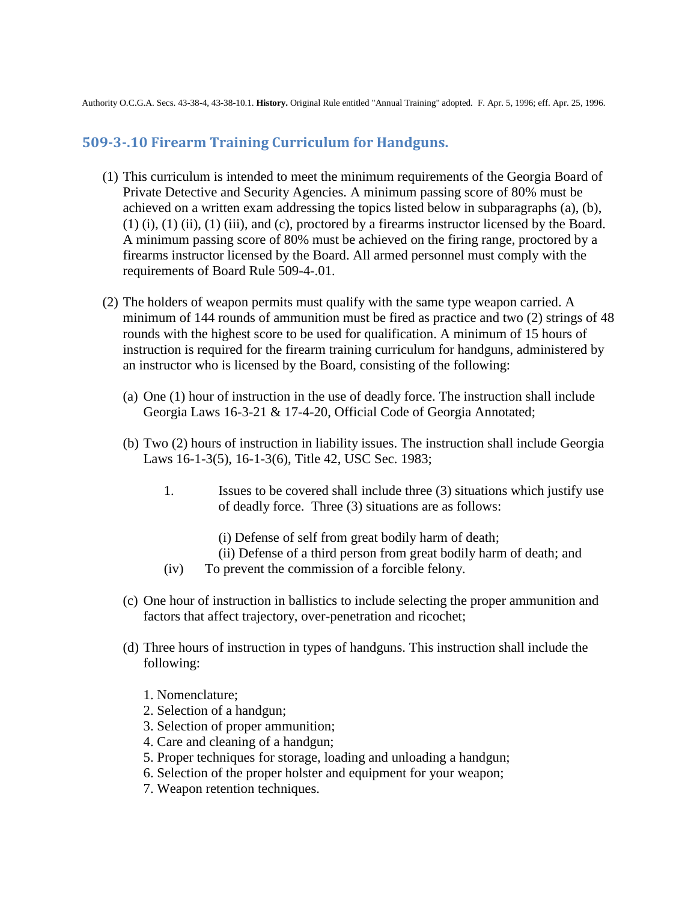Authority O.C.G.A. Secs. 43-38-4, 43-38-10.1. **History.** Original Rule entitled "Annual Training" adopted. F. Apr. 5, 1996; eff. Apr. 25, 1996.

### <span id="page-16-0"></span>**509-3-.10 Firearm Training Curriculum for Handguns.**

- (1) This curriculum is intended to meet the minimum requirements of the Georgia Board of Private Detective and Security Agencies. A minimum passing score of 80% must be achieved on a written exam addressing the topics listed below in subparagraphs (a), (b), (1) (i), (1) (ii), (1) (iii), and (c), proctored by a firearms instructor licensed by the Board. A minimum passing score of 80% must be achieved on the firing range, proctored by a firearms instructor licensed by the Board. All armed personnel must comply with the requirements of Board Rule 509-4-.01.
- (2) The holders of weapon permits must qualify with the same type weapon carried. A minimum of 144 rounds of ammunition must be fired as practice and two (2) strings of 48 rounds with the highest score to be used for qualification. A minimum of 15 hours of instruction is required for the firearm training curriculum for handguns, administered by an instructor who is licensed by the Board, consisting of the following:
	- (a) One (1) hour of instruction in the use of deadly force. The instruction shall include Georgia Laws 16-3-21 & 17-4-20, Official Code of Georgia Annotated;
	- (b) Two (2) hours of instruction in liability issues. The instruction shall include Georgia Laws 16-1-3(5), 16-1-3(6), Title 42, USC Sec. 1983;
		- 1. Issues to be covered shall include three (3) situations which justify use of deadly force. Three (3) situations are as follows:
			- (i) Defense of self from great bodily harm of death;
			- (ii) Defense of a third person from great bodily harm of death; and
		- (iv) To prevent the commission of a forcible felony.
	- (c) One hour of instruction in ballistics to include selecting the proper ammunition and factors that affect trajectory, over-penetration and ricochet;
	- (d) Three hours of instruction in types of handguns. This instruction shall include the following:
		- 1. Nomenclature;
		- 2. Selection of a handgun;
		- 3. Selection of proper ammunition;
		- 4. Care and cleaning of a handgun;
		- 5. Proper techniques for storage, loading and unloading a handgun;
		- 6. Selection of the proper holster and equipment for your weapon;
		- 7. Weapon retention techniques.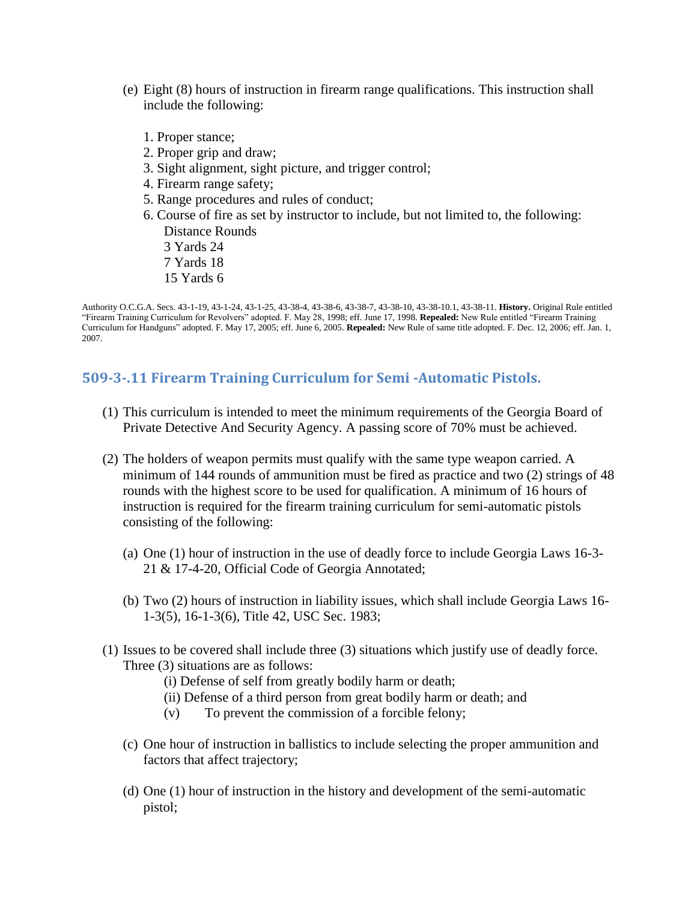- (e) Eight (8) hours of instruction in firearm range qualifications. This instruction shall include the following:
	- 1. Proper stance;
	- 2. Proper grip and draw;
	- 3. Sight alignment, sight picture, and trigger control;
	- 4. Firearm range safety;
	- 5. Range procedures and rules of conduct;
	- 6. Course of fire as set by instructor to include, but not limited to, the following: Distance Rounds
		- 3 Yards 24
		- 7 Yards 18
		- 15 Yards 6

Authority O.C.G.A. Secs. 43-1-19, 43-1-24, 43-1-25, 43-38-4, 43-38-6, 43-38-7, 43-38-10, 43-38-10.1, 43-38-11. **History.** Original Rule entitled "Firearm Training Curriculum for Revolvers" adopted. F. May 28, 1998; eff. June 17, 1998. **Repealed:** New Rule entitled "Firearm Training Curriculum for Handguns" adopted. F. May 17, 2005; eff. June 6, 2005. **Repealed:** New Rule of same title adopted. F. Dec. 12, 2006; eff. Jan. 1, 2007.

### <span id="page-17-0"></span>**509-3-.11 Firearm Training Curriculum for Semi -Automatic Pistols.**

- (1) This curriculum is intended to meet the minimum requirements of the Georgia Board of Private Detective And Security Agency. A passing score of 70% must be achieved.
- (2) The holders of weapon permits must qualify with the same type weapon carried. A minimum of 144 rounds of ammunition must be fired as practice and two (2) strings of 48 rounds with the highest score to be used for qualification. A minimum of 16 hours of instruction is required for the firearm training curriculum for semi-automatic pistols consisting of the following:
	- (a) One (1) hour of instruction in the use of deadly force to include Georgia Laws 16-3- 21 & 17-4-20, Official Code of Georgia Annotated;
	- (b) Two (2) hours of instruction in liability issues, which shall include Georgia Laws 16- 1-3(5), 16-1-3(6), Title 42, USC Sec. 1983;
- (1) Issues to be covered shall include three (3) situations which justify use of deadly force. Three (3) situations are as follows:
	- (i) Defense of self from greatly bodily harm or death;
	- (ii) Defense of a third person from great bodily harm or death; and
	- (v) To prevent the commission of a forcible felony;
	- (c) One hour of instruction in ballistics to include selecting the proper ammunition and factors that affect trajectory;
	- (d) One (1) hour of instruction in the history and development of the semi-automatic pistol;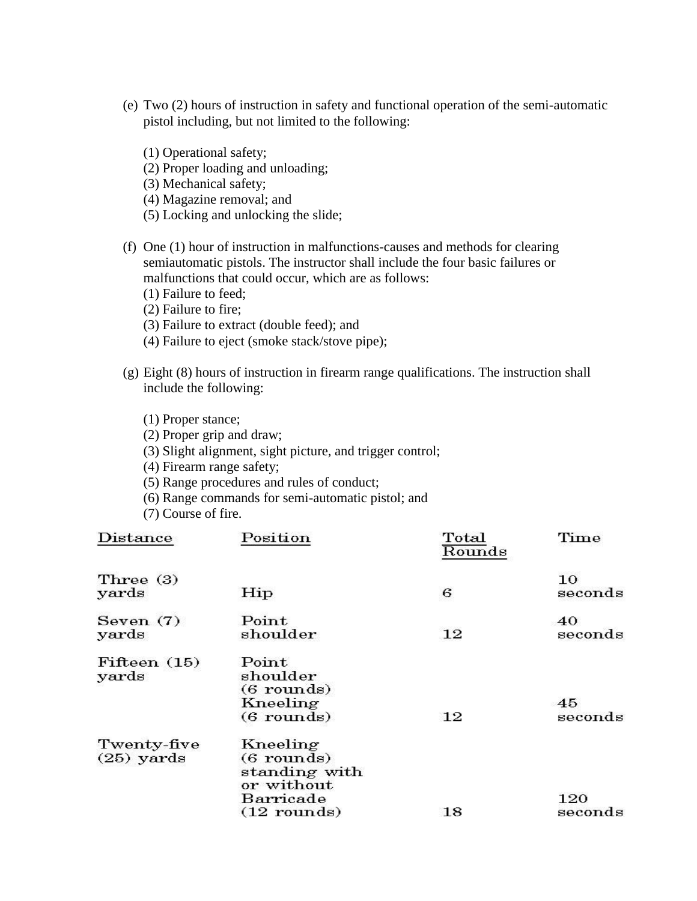- (e) Two (2) hours of instruction in safety and functional operation of the semi-automatic pistol including, but not limited to the following:
	- (1) Operational safety; (2) Proper loading and unloading; (3) Mechanical safety; (4) Magazine removal; and (5) Locking and unlocking the slide;
- (f) One (1) hour of instruction in malfunctions-causes and methods for clearing semiautomatic pistols. The instructor shall include the four basic failures or malfunctions that could occur, which are as follows:
	- (1) Failure to feed;
	- (2) Failure to fire;
	- (3) Failure to extract (double feed); and
	- (4) Failure to eject (smoke stack/stove pipe);
- (g) Eight (8) hours of instruction in firearm range qualifications. The instruction shall include the following:

#### (1) Proper stance;

- (2) Proper grip and draw;
- (3) Slight alignment, sight picture, and trigger control;
- (4) Firearm range safety;
- (5) Range procedures and rules of conduct;
- (6) Range commands for semi-automatic pistol; and
- (7) Course of fire.

| $\mathop{\rm Distance}\nolimits$ | $\rm Position$                                                                        | Total<br>Rounds | Time           |
|----------------------------------|---------------------------------------------------------------------------------------|-----------------|----------------|
| Three (3)<br>yards               | Hip                                                                                   | 6               | 10<br>seconds  |
| Seven $(7)$<br>yards             | Point<br>$\scriptstyle \text{shoulder}$                                               | 12              | 40<br>seconds  |
| Fifteen $(15)$<br>yards          | $\rm Point$<br>shoulder<br>$(6$ rounds)<br>Kneeling<br>$(6$ rounds)                   | 12              | 45<br>seconds  |
| Twenty-five<br>$(25)$ yards      | Kneeling<br>$(6$ rounds)<br>standing with<br>or without<br>Barricade<br>$(12$ rounds) | 18              | 120<br>seconds |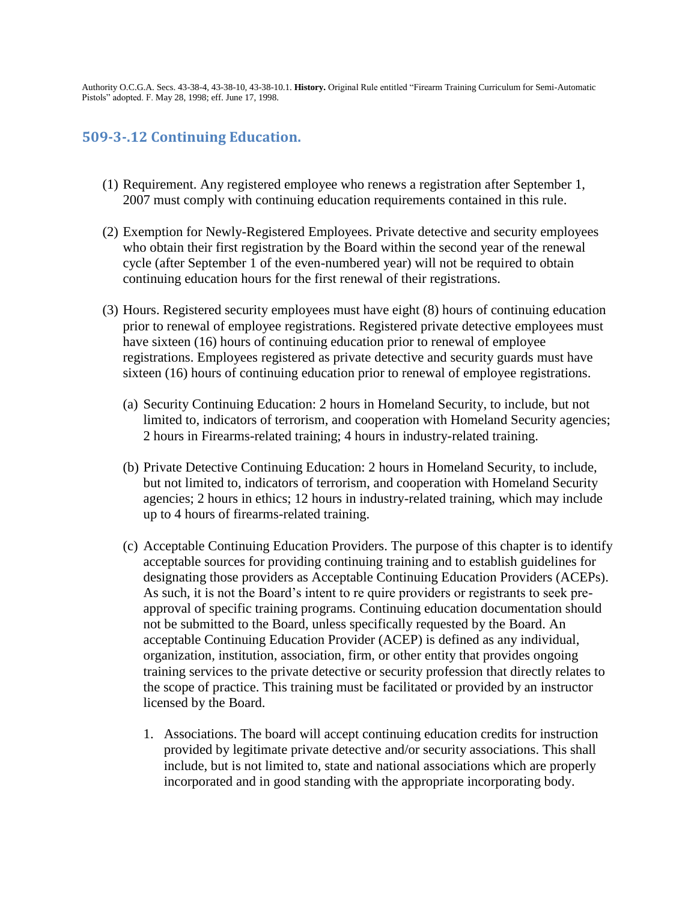Authority O.C.G.A. Secs. 43-38-4, 43-38-10, 43-38-10.1. **History.** Original Rule entitled "Firearm Training Curriculum for Semi-Automatic Pistols" adopted. F. May 28, 1998; eff. June 17, 1998.

### <span id="page-19-0"></span>**509-3-.12 Continuing Education.**

- (1) Requirement. Any registered employee who renews a registration after September 1, 2007 must comply with continuing education requirements contained in this rule.
- (2) Exemption for Newly-Registered Employees. Private detective and security employees who obtain their first registration by the Board within the second year of the renewal cycle (after September 1 of the even-numbered year) will not be required to obtain continuing education hours for the first renewal of their registrations.
- (3) Hours. Registered security employees must have eight (8) hours of continuing education prior to renewal of employee registrations. Registered private detective employees must have sixteen (16) hours of continuing education prior to renewal of employee registrations. Employees registered as private detective and security guards must have sixteen (16) hours of continuing education prior to renewal of employee registrations.
	- (a) Security Continuing Education: 2 hours in Homeland Security, to include, but not limited to, indicators of terrorism, and cooperation with Homeland Security agencies; 2 hours in Firearms-related training; 4 hours in industry-related training.
	- (b) Private Detective Continuing Education: 2 hours in Homeland Security, to include, but not limited to, indicators of terrorism, and cooperation with Homeland Security agencies; 2 hours in ethics; 12 hours in industry-related training, which may include up to 4 hours of firearms-related training.
	- (c) Acceptable Continuing Education Providers. The purpose of this chapter is to identify acceptable sources for providing continuing training and to establish guidelines for designating those providers as Acceptable Continuing Education Providers (ACEPs). As such, it is not the Board's intent to re quire providers or registrants to seek preapproval of specific training programs. Continuing education documentation should not be submitted to the Board, unless specifically requested by the Board. An acceptable Continuing Education Provider (ACEP) is defined as any individual, organization, institution, association, firm, or other entity that provides ongoing training services to the private detective or security profession that directly relates to the scope of practice. This training must be facilitated or provided by an instructor licensed by the Board.
		- 1. Associations. The board will accept continuing education credits for instruction provided by legitimate private detective and/or security associations. This shall include, but is not limited to, state and national associations which are properly incorporated and in good standing with the appropriate incorporating body.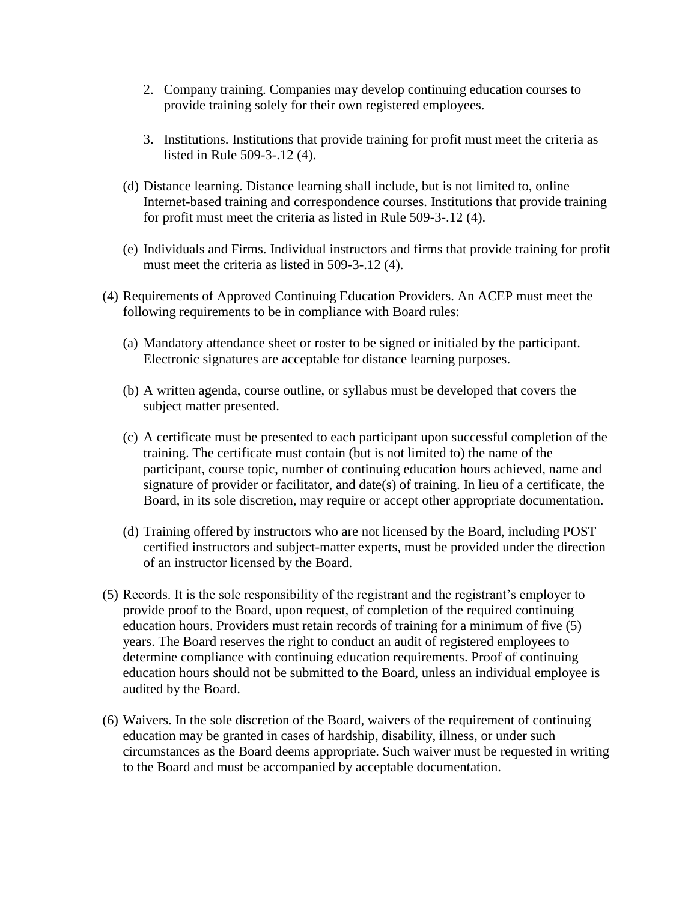- 2. Company training. Companies may develop continuing education courses to provide training solely for their own registered employees.
- 3. Institutions. Institutions that provide training for profit must meet the criteria as listed in Rule 509-3-.12 (4).
- (d) Distance learning. Distance learning shall include, but is not limited to, online Internet-based training and correspondence courses. Institutions that provide training for profit must meet the criteria as listed in Rule 509-3-.12 (4).
- (e) Individuals and Firms. Individual instructors and firms that provide training for profit must meet the criteria as listed in 509-3-.12 (4).
- (4) Requirements of Approved Continuing Education Providers. An ACEP must meet the following requirements to be in compliance with Board rules:
	- (a) Mandatory attendance sheet or roster to be signed or initialed by the participant. Electronic signatures are acceptable for distance learning purposes.
	- (b) A written agenda, course outline, or syllabus must be developed that covers the subject matter presented.
	- (c) A certificate must be presented to each participant upon successful completion of the training. The certificate must contain (but is not limited to) the name of the participant, course topic, number of continuing education hours achieved, name and signature of provider or facilitator, and date(s) of training. In lieu of a certificate, the Board, in its sole discretion, may require or accept other appropriate documentation.
	- (d) Training offered by instructors who are not licensed by the Board, including POST certified instructors and subject-matter experts, must be provided under the direction of an instructor licensed by the Board.
- (5) Records. It is the sole responsibility of the registrant and the registrant's employer to provide proof to the Board, upon request, of completion of the required continuing education hours. Providers must retain records of training for a minimum of five (5) years. The Board reserves the right to conduct an audit of registered employees to determine compliance with continuing education requirements. Proof of continuing education hours should not be submitted to the Board, unless an individual employee is audited by the Board.
- (6) Waivers. In the sole discretion of the Board, waivers of the requirement of continuing education may be granted in cases of hardship, disability, illness, or under such circumstances as the Board deems appropriate. Such waiver must be requested in writing to the Board and must be accompanied by acceptable documentation.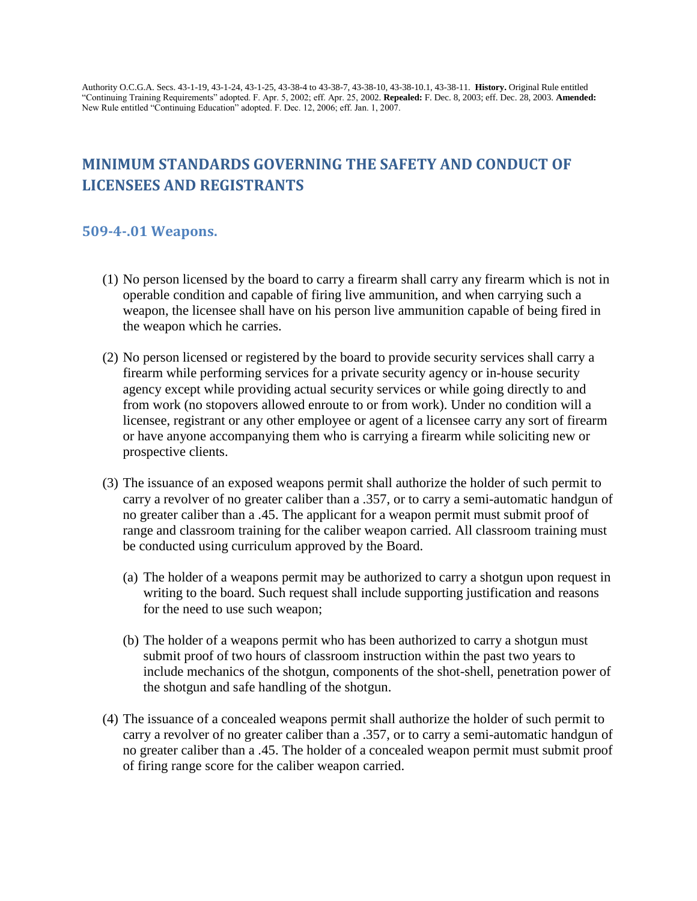Authority O.C.G.A. Secs. 43-1-19, 43-1-24, 43-1-25, 43-38-4 to 43-38-7, 43-38-10, 43-38-10.1, 43-38-11. **History.** Original Rule entitled "Continuing Training Requirements" adopted. F. Apr. 5, 2002; eff. Apr. 25, 2002. **Repealed:** F. Dec. 8, 2003; eff. Dec. 28, 2003. **Amended:**  New Rule entitled "Continuing Education" adopted. F. Dec. 12, 2006; eff. Jan. 1, 2007.

# <span id="page-21-0"></span>**MINIMUM STANDARDS GOVERNING THE SAFETY AND CONDUCT OF LICENSEES AND REGISTRANTS**

#### <span id="page-21-1"></span>**509-4-.01 Weapons.**

- (1) No person licensed by the board to carry a firearm shall carry any firearm which is not in operable condition and capable of firing live ammunition, and when carrying such a weapon, the licensee shall have on his person live ammunition capable of being fired in the weapon which he carries.
- (2) No person licensed or registered by the board to provide security services shall carry a firearm while performing services for a private security agency or in-house security agency except while providing actual security services or while going directly to and from work (no stopovers allowed enroute to or from work). Under no condition will a licensee, registrant or any other employee or agent of a licensee carry any sort of firearm or have anyone accompanying them who is carrying a firearm while soliciting new or prospective clients.
- (3) The issuance of an exposed weapons permit shall authorize the holder of such permit to carry a revolver of no greater caliber than a .357, or to carry a semi-automatic handgun of no greater caliber than a .45. The applicant for a weapon permit must submit proof of range and classroom training for the caliber weapon carried. All classroom training must be conducted using curriculum approved by the Board.
	- (a) The holder of a weapons permit may be authorized to carry a shotgun upon request in writing to the board. Such request shall include supporting justification and reasons for the need to use such weapon;
	- (b) The holder of a weapons permit who has been authorized to carry a shotgun must submit proof of two hours of classroom instruction within the past two years to include mechanics of the shotgun, components of the shot-shell, penetration power of the shotgun and safe handling of the shotgun.
- (4) The issuance of a concealed weapons permit shall authorize the holder of such permit to carry a revolver of no greater caliber than a .357, or to carry a semi-automatic handgun of no greater caliber than a .45. The holder of a concealed weapon permit must submit proof of firing range score for the caliber weapon carried.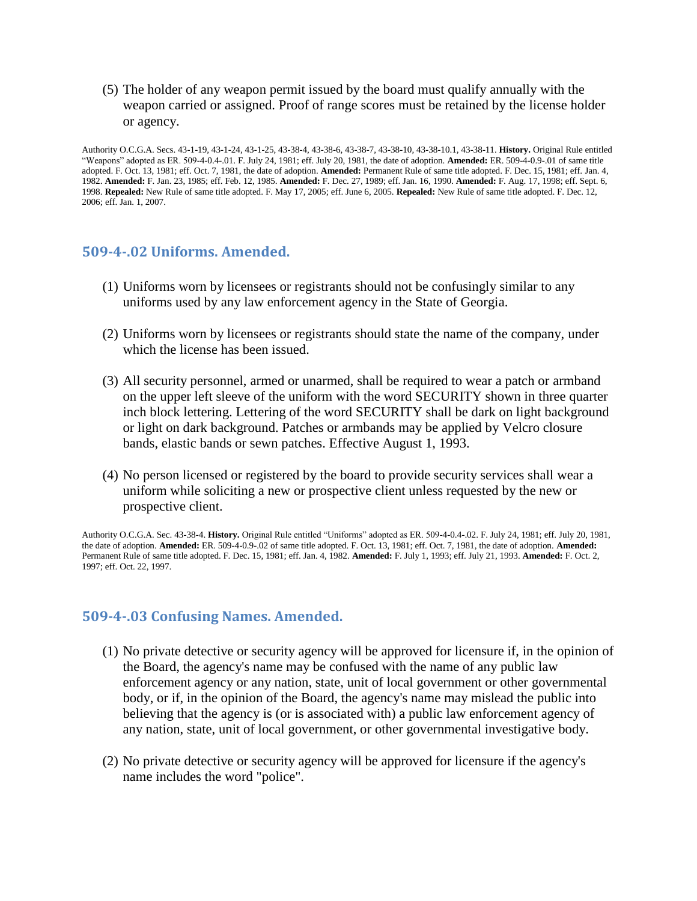(5) The holder of any weapon permit issued by the board must qualify annually with the weapon carried or assigned. Proof of range scores must be retained by the license holder or agency.

Authority O.C.G.A. Secs. 43-1-19, 43-1-24, 43-1-25, 43-38-4, 43-38-6, 43-38-7, 43-38-10, 43-38-10.1, 43-38-11. **History.** Original Rule entitled "Weapons" adopted as ER. 509-4-0.4-.01. F. July 24, 1981; eff. July 20, 1981, the date of adoption. **Amended:** ER. 509-4-0.9-.01 of same title adopted. F. Oct. 13, 1981; eff. Oct. 7, 1981, the date of adoption. **Amended:** Permanent Rule of same title adopted. F. Dec. 15, 1981; eff. Jan. 4, 1982. **Amended:** F. Jan. 23, 1985; eff. Feb. 12, 1985. **Amended:** F. Dec. 27, 1989; eff. Jan. 16, 1990. **Amended:** F. Aug. 17, 1998; eff. Sept. 6, 1998. **Repealed:** New Rule of same title adopted. F. May 17, 2005; eff. June 6, 2005. **Repealed:** New Rule of same title adopted. F. Dec. 12, 2006; eff. Jan. 1, 2007.

#### <span id="page-22-0"></span>**509-4-.02 Uniforms. Amended.**

- (1) Uniforms worn by licensees or registrants should not be confusingly similar to any uniforms used by any law enforcement agency in the State of Georgia.
- (2) Uniforms worn by licensees or registrants should state the name of the company, under which the license has been issued.
- (3) All security personnel, armed or unarmed, shall be required to wear a patch or armband on the upper left sleeve of the uniform with the word SECURITY shown in three quarter inch block lettering. Lettering of the word SECURITY shall be dark on light background or light on dark background. Patches or armbands may be applied by Velcro closure bands, elastic bands or sewn patches. Effective August 1, 1993.
- (4) No person licensed or registered by the board to provide security services shall wear a uniform while soliciting a new or prospective client unless requested by the new or prospective client.

Authority O.C.G.A. Sec. 43-38-4. **History.** Original Rule entitled "Uniforms" adopted as ER. 509-4-0.4-.02. F. July 24, 1981; eff. July 20, 1981, the date of adoption. **Amended:** ER. 509-4-0.9-.02 of same title adopted. F. Oct. 13, 1981; eff. Oct. 7, 1981, the date of adoption. **Amended:**  Permanent Rule of same title adopted. F. Dec. 15, 1981; eff. Jan. 4, 1982. **Amended:** F. July 1, 1993; eff. July 21, 1993. **Amended:** F. Oct. 2, 1997; eff. Oct. 22, 1997.

#### <span id="page-22-1"></span>**509-4-.03 Confusing Names. Amended.**

- (1) No private detective or security agency will be approved for licensure if, in the opinion of the Board, the agency's name may be confused with the name of any public law enforcement agency or any nation, state, unit of local government or other governmental body, or if, in the opinion of the Board, the agency's name may mislead the public into believing that the agency is (or is associated with) a public law enforcement agency of any nation, state, unit of local government, or other governmental investigative body.
- (2) No private detective or security agency will be approved for licensure if the agency's name includes the word "police".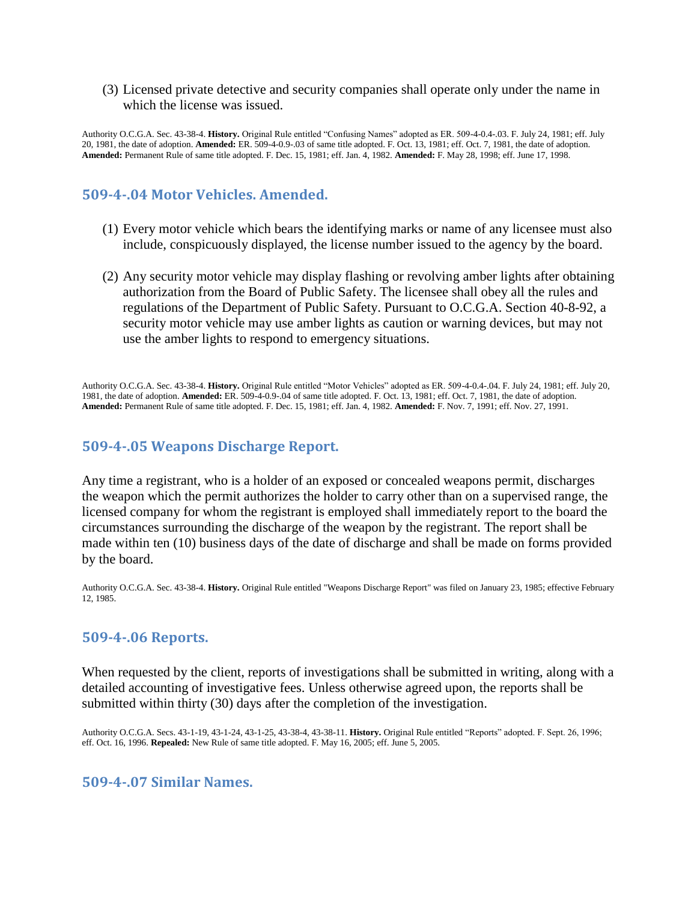(3) Licensed private detective and security companies shall operate only under the name in which the license was issued.

Authority O.C.G.A. Sec. 43-38-4. **History.** Original Rule entitled "Confusing Names" adopted as ER. 509-4-0.4-.03. F. July 24, 1981; eff. July 20, 1981, the date of adoption. **Amended:** ER. 509-4-0.9-.03 of same title adopted. F. Oct. 13, 1981; eff. Oct. 7, 1981, the date of adoption. **Amended:** Permanent Rule of same title adopted. F. Dec. 15, 1981; eff. Jan. 4, 1982. **Amended:** F. May 28, 1998; eff. June 17, 1998.

### <span id="page-23-0"></span>**509-4-.04 Motor Vehicles. Amended.**

- (1) Every motor vehicle which bears the identifying marks or name of any licensee must also include, conspicuously displayed, the license number issued to the agency by the board.
- (2) Any security motor vehicle may display flashing or revolving amber lights after obtaining authorization from the Board of Public Safety. The licensee shall obey all the rules and regulations of the Department of Public Safety. Pursuant to O.C.G.A. Section 40-8-92, a security motor vehicle may use amber lights as caution or warning devices, but may not use the amber lights to respond to emergency situations.

Authority O.C.G.A. Sec. 43-38-4. **History.** Original Rule entitled "Motor Vehicles" adopted as ER. 509-4-0.4-.04. F. July 24, 1981; eff. July 20, 1981, the date of adoption. **Amended:** ER. 509-4-0.9-.04 of same title adopted. F. Oct. 13, 1981; eff. Oct. 7, 1981, the date of adoption. **Amended:** Permanent Rule of same title adopted. F. Dec. 15, 1981; eff. Jan. 4, 1982. **Amended:** F. Nov. 7, 1991; eff. Nov. 27, 1991.

### <span id="page-23-1"></span>**509-4-.05 Weapons Discharge Report.**

Any time a registrant, who is a holder of an exposed or concealed weapons permit, discharges the weapon which the permit authorizes the holder to carry other than on a supervised range, the licensed company for whom the registrant is employed shall immediately report to the board the circumstances surrounding the discharge of the weapon by the registrant. The report shall be made within ten (10) business days of the date of discharge and shall be made on forms provided by the board.

Authority O.C.G.A. Sec. 43-38-4. **History.** Original Rule entitled "Weapons Discharge Report" was filed on January 23, 1985; effective February 12, 1985.

#### <span id="page-23-2"></span>**509-4-.06 Reports.**

When requested by the client, reports of investigations shall be submitted in writing, along with a detailed accounting of investigative fees. Unless otherwise agreed upon, the reports shall be submitted within thirty (30) days after the completion of the investigation.

Authority O.C.G.A. Secs. 43-1-19, 43-1-24, 43-1-25, 43-38-4, 43-38-11. **History.** Original Rule entitled "Reports" adopted. F. Sept. 26, 1996; eff. Oct. 16, 1996. **Repealed:** New Rule of same title adopted. F. May 16, 2005; eff. June 5, 2005.

#### <span id="page-23-3"></span>**509-4-.07 Similar Names.**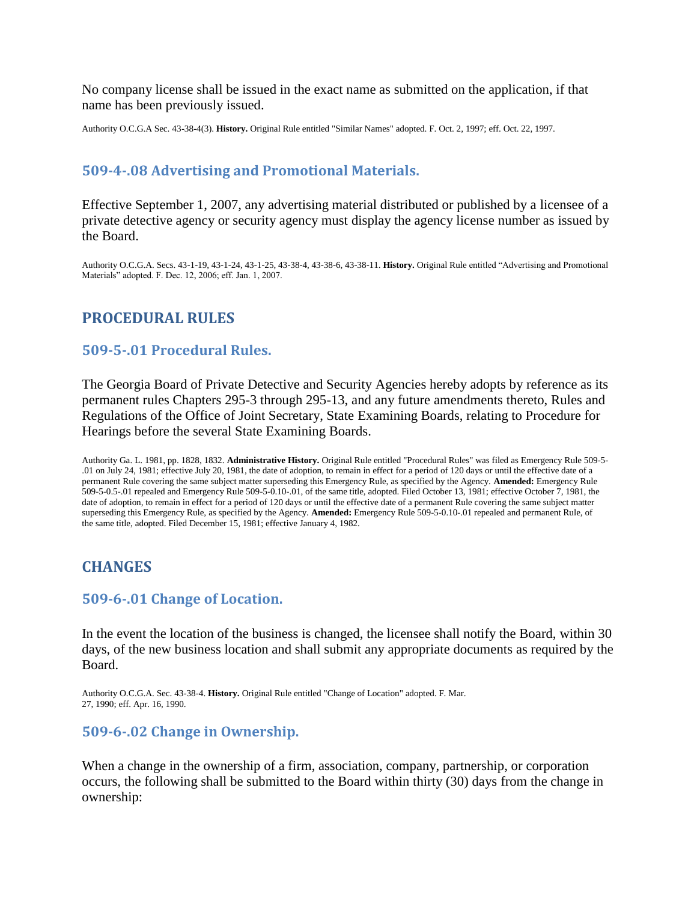No company license shall be issued in the exact name as submitted on the application, if that name has been previously issued.

Authority O.C.G.A Sec. 43-38-4(3). **History.** Original Rule entitled "Similar Names" adopted. F. Oct. 2, 1997; eff. Oct. 22, 1997.

### <span id="page-24-0"></span>**509-4-.08 Advertising and Promotional Materials.**

Effective September 1, 2007, any advertising material distributed or published by a licensee of a private detective agency or security agency must display the agency license number as issued by the Board.

<span id="page-24-1"></span>Authority O.C.G.A. Secs. 43-1-19, 43-1-24, 43-1-25, 43-38-4, 43-38-6, 43-38-11. **History.** Original Rule entitled "Advertising and Promotional Materials" adopted. F. Dec. 12, 2006; eff. Jan. 1, 2007.

### **PROCEDURAL RULES**

#### <span id="page-24-2"></span>**509-5-.01 Procedural Rules.**

The Georgia Board of Private Detective and Security Agencies hereby adopts by reference as its permanent rules Chapters 295-3 through 295-13, and any future amendments thereto, Rules and Regulations of the Office of Joint Secretary, State Examining Boards, relating to Procedure for Hearings before the several State Examining Boards.

Authority Ga. L. 1981, pp. 1828, 1832. **Administrative History.** Original Rule entitled "Procedural Rules" was filed as Emergency Rule 509-5- .01 on July 24, 1981; effective July 20, 1981, the date of adoption, to remain in effect for a period of 120 days or until the effective date of a permanent Rule covering the same subject matter superseding this Emergency Rule, as specified by the Agency. **Amended:** Emergency Rule 509-5-0.5-.01 repealed and Emergency Rule 509-5-0.10-.01, of the same title, adopted. Filed October 13, 1981; effective October 7, 1981, the date of adoption, to remain in effect for a period of 120 days or until the effective date of a permanent Rule covering the same subject matter superseding this Emergency Rule, as specified by the Agency. **Amended:** Emergency Rule 509-5-0.10-.01 repealed and permanent Rule, of the same title, adopted. Filed December 15, 1981; effective January 4, 1982.

### <span id="page-24-3"></span>**CHANGES**

#### <span id="page-24-4"></span>**509-6-.01 Change of Location.**

In the event the location of the business is changed, the licensee shall notify the Board, within 30 days, of the new business location and shall submit any appropriate documents as required by the Board.

Authority O.C.G.A. Sec. 43-38-4. **History.** Original Rule entitled "Change of Location" adopted. F. Mar. 27, 1990; eff. Apr. 16, 1990.

#### <span id="page-24-5"></span>**509-6-.02 Change in Ownership.**

When a change in the ownership of a firm, association, company, partnership, or corporation occurs, the following shall be submitted to the Board within thirty (30) days from the change in ownership: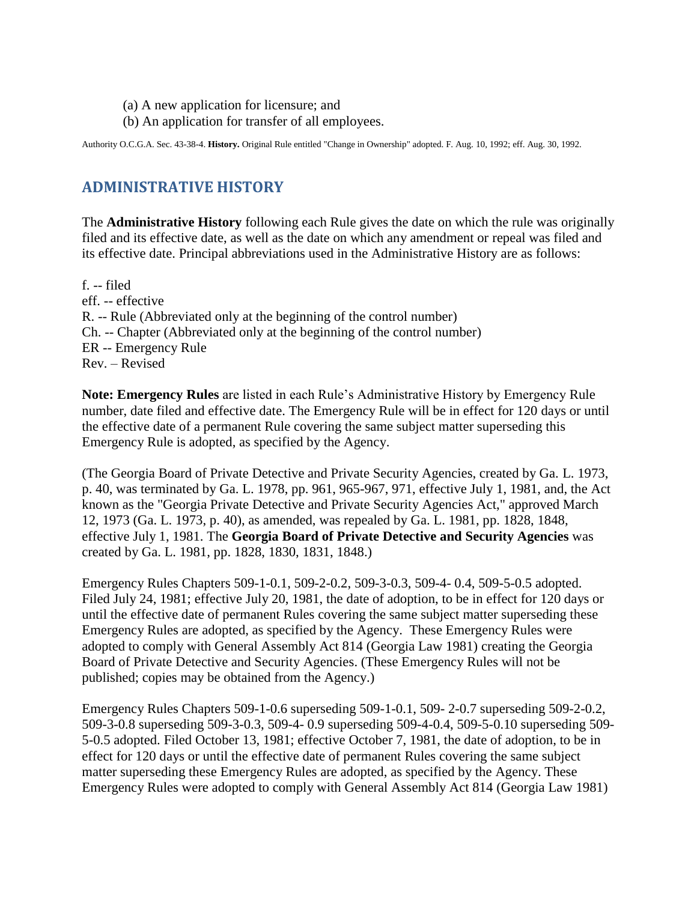- (a) A new application for licensure; and
- (b) An application for transfer of all employees.

<span id="page-25-0"></span>Authority O.C.G.A. Sec. 43-38-4. **History.** Original Rule entitled "Change in Ownership" adopted. F. Aug. 10, 1992; eff. Aug. 30, 1992.

# **ADMINISTRATIVE HISTORY**

The **Administrative History** following each Rule gives the date on which the rule was originally filed and its effective date, as well as the date on which any amendment or repeal was filed and its effective date. Principal abbreviations used in the Administrative History are as follows:

f. -- filed eff. -- effective R. -- Rule (Abbreviated only at the beginning of the control number) Ch. -- Chapter (Abbreviated only at the beginning of the control number) ER -- Emergency Rule Rev. – Revised

**Note: Emergency Rules** are listed in each Rule's Administrative History by Emergency Rule number, date filed and effective date. The Emergency Rule will be in effect for 120 days or until the effective date of a permanent Rule covering the same subject matter superseding this Emergency Rule is adopted, as specified by the Agency.

(The Georgia Board of Private Detective and Private Security Agencies, created by Ga. L. 1973, p. 40, was terminated by Ga. L. 1978, pp. 961, 965-967, 971, effective July 1, 1981, and, the Act known as the "Georgia Private Detective and Private Security Agencies Act," approved March 12, 1973 (Ga. L. 1973, p. 40), as amended, was repealed by Ga. L. 1981, pp. 1828, 1848, effective July 1, 1981. The **Georgia Board of Private Detective and Security Agencies** was created by Ga. L. 1981, pp. 1828, 1830, 1831, 1848.)

Emergency Rules Chapters 509-1-0.1, 509-2-0.2, 509-3-0.3, 509-4- 0.4, 509-5-0.5 adopted. Filed July 24, 1981; effective July 20, 1981, the date of adoption, to be in effect for 120 days or until the effective date of permanent Rules covering the same subject matter superseding these Emergency Rules are adopted, as specified by the Agency. These Emergency Rules were adopted to comply with General Assembly Act 814 (Georgia Law 1981) creating the Georgia Board of Private Detective and Security Agencies. (These Emergency Rules will not be published; copies may be obtained from the Agency.)

Emergency Rules Chapters 509-1-0.6 superseding 509-1-0.1, 509- 2-0.7 superseding 509-2-0.2, 509-3-0.8 superseding 509-3-0.3, 509-4- 0.9 superseding 509-4-0.4, 509-5-0.10 superseding 509- 5-0.5 adopted. Filed October 13, 1981; effective October 7, 1981, the date of adoption, to be in effect for 120 days or until the effective date of permanent Rules covering the same subject matter superseding these Emergency Rules are adopted, as specified by the Agency. These Emergency Rules were adopted to comply with General Assembly Act 814 (Georgia Law 1981)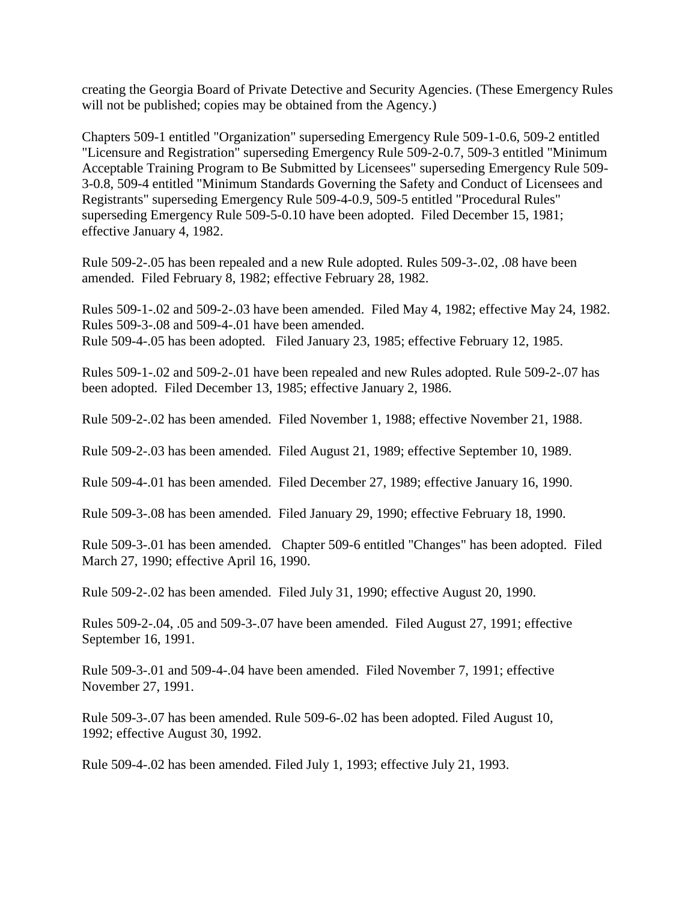creating the Georgia Board of Private Detective and Security Agencies. (These Emergency Rules will not be published; copies may be obtained from the Agency.)

Chapters 509-1 entitled "Organization" superseding Emergency Rule 509-1-0.6, 509-2 entitled "Licensure and Registration" superseding Emergency Rule 509-2-0.7, 509-3 entitled "Minimum Acceptable Training Program to Be Submitted by Licensees" superseding Emergency Rule 509- 3-0.8, 509-4 entitled "Minimum Standards Governing the Safety and Conduct of Licensees and Registrants" superseding Emergency Rule 509-4-0.9, 509-5 entitled "Procedural Rules" superseding Emergency Rule 509-5-0.10 have been adopted. Filed December 15, 1981; effective January 4, 1982.

Rule 509-2-.05 has been repealed and a new Rule adopted. Rules 509-3-.02, .08 have been amended. Filed February 8, 1982; effective February 28, 1982.

Rules 509-1-.02 and 509-2-.03 have been amended. Filed May 4, 1982; effective May 24, 1982. Rules 509-3-.08 and 509-4-.01 have been amended. Rule 509-4-.05 has been adopted. Filed January 23, 1985; effective February 12, 1985.

Rules 509-1-.02 and 509-2-.01 have been repealed and new Rules adopted. Rule 509-2-.07 has been adopted. Filed December 13, 1985; effective January 2, 1986.

Rule 509-2-.02 has been amended. Filed November 1, 1988; effective November 21, 1988.

Rule 509-2-.03 has been amended. Filed August 21, 1989; effective September 10, 1989.

Rule 509-4-.01 has been amended. Filed December 27, 1989; effective January 16, 1990.

Rule 509-3-.08 has been amended. Filed January 29, 1990; effective February 18, 1990.

Rule 509-3-.01 has been amended. Chapter 509-6 entitled "Changes" has been adopted. Filed March 27, 1990; effective April 16, 1990.

Rule 509-2-.02 has been amended. Filed July 31, 1990; effective August 20, 1990.

Rules 509-2-.04, .05 and 509-3-.07 have been amended. Filed August 27, 1991; effective September 16, 1991.

Rule 509-3-.01 and 509-4-.04 have been amended. Filed November 7, 1991; effective November 27, 1991.

Rule 509-3-.07 has been amended. Rule 509-6-.02 has been adopted. Filed August 10, 1992; effective August 30, 1992.

Rule 509-4-.02 has been amended. Filed July 1, 1993; effective July 21, 1993.